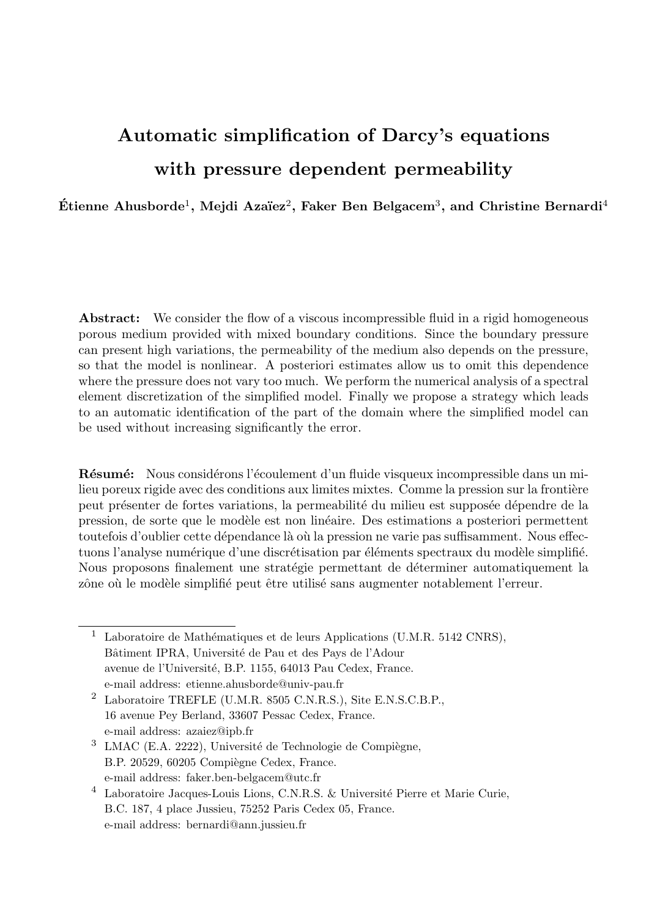# Automatic simplification of Darcy's equations with pressure dependent permeability

Étienne Ahusborde<sup>1</sup>, Mejdi Azaïez<sup>2</sup>, Faker Ben Belgacem<sup>3</sup>, and Christine Bernardi<sup>4</sup>

Abstract: We consider the flow of a viscous incompressible fluid in a rigid homogeneous porous medium provided with mixed boundary conditions. Since the boundary pressure can present high variations, the permeability of the medium also depends on the pressure, so that the model is nonlinear. A posteriori estimates allow us to omit this dependence where the pressure does not vary too much. We perform the numerical analysis of a spectral element discretization of the simplified model. Finally we propose a strategy which leads to an automatic identification of the part of the domain where the simplified model can be used without increasing significantly the error.

Résumé: Nous considérons l'écoulement d'un fluide visqueux incompressible dans un milieu poreux rigide avec des conditions aux limites mixtes. Comme la pression sur la frontière peut présenter de fortes variations, la permeabilité du milieu est supposée dépendre de la pression, de sorte que le modèle est non linéaire. Des estimations a posteriori permettent toutefois d'oublier cette dépendance là où la pression ne varie pas suffisamment. Nous effectuons l'analyse numérique d'une discrétisation par éléments spectraux du modèle simplifié. Nous proposons finalement une stratégie permettant de déterminer automatiquement la zône où le modèle simplifié peut être utilisé sans augmenter notablement l'erreur.

<sup>&</sup>lt;sup>1</sup> Laboratoire de Mathématiques et de leurs Applications (U.M.R. 5142 CNRS), Bâtiment IPRA, Université de Pau et des Pays de l'Adour avenue de l'Université, B.P. 1155, 64013 Pau Cedex, France. e-mail address: etienne.ahusborde@univ-pau.fr

<sup>2</sup> Laboratoire TREFLE (U.M.R. 8505 C.N.R.S.), Site E.N.S.C.B.P., 16 avenue Pey Berland, 33607 Pessac Cedex, France. e-mail address: azaiez@ipb.fr

 $3$  LMAC (E.A. 2222), Université de Technologie de Compiègne, B.P. 20529, 60205 Compiègne Cedex, France. e-mail address: faker.ben-belgacem@utc.fr

<sup>&</sup>lt;sup>4</sup> Laboratoire Jacques-Louis Lions, C.N.R.S. & Université Pierre et Marie Curie, B.C. 187, 4 place Jussieu, 75252 Paris Cedex 05, France. e-mail address: bernardi@ann.jussieu.fr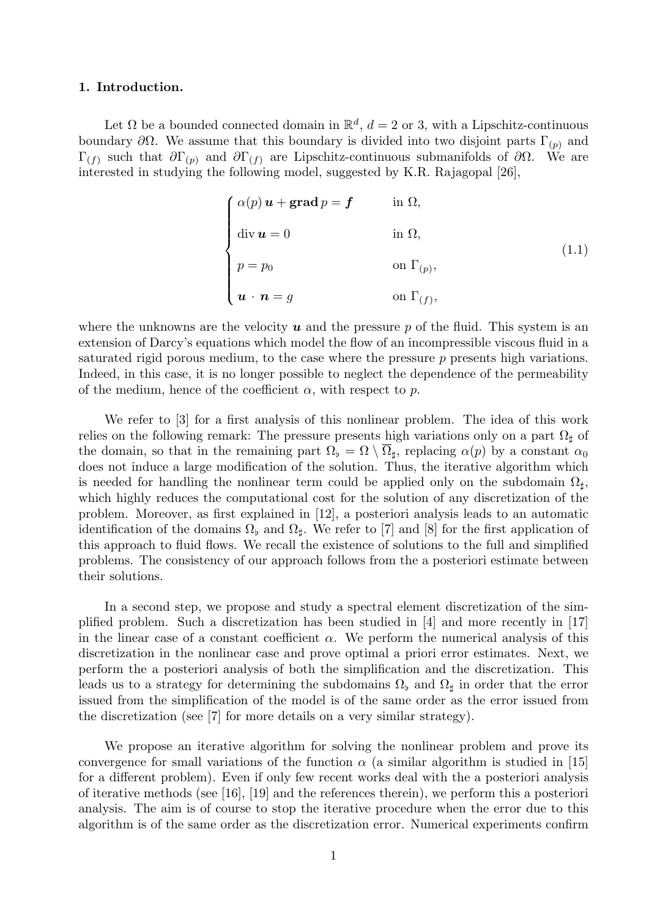# 1. Introduction.

Let  $\Omega$  be a bounded connected domain in  $\mathbb{R}^d$ ,  $d=2$  or 3, with a Lipschitz-continuous boundary  $\partial Ω$ . We assume that this boundary is divided into two disjoint parts Γ<sub>(p)</sub> and  $\Gamma_{(f)}$  such that  $\partial \Gamma_{(p)}$  and  $\partial \Gamma_{(f)}$  are Lipschitz-continuous submanifolds of  $\partial \Omega$ . We are interested in studying the following model, suggested by K.R. Rajagopal [26],

$$
\begin{cases}\n\alpha(p) \mathbf{u} + \mathbf{grad}\,p = \mathbf{f} & \text{in } \Omega, \\
\text{div}\,\mathbf{u} = 0 & \text{in } \Omega, \\
p = p_0 & \text{on } \Gamma_{(p)}, \\
\mathbf{u} \cdot \mathbf{n} = g & \text{on } \Gamma_{(f)},\n\end{cases}
$$
\n(1.1)

where the unknowns are the velocity  $u$  and the pressure p of the fluid. This system is an extension of Darcy's equations which model the flow of an incompressible viscous fluid in a saturated rigid porous medium, to the case where the pressure  $p$  presents high variations. Indeed, in this case, it is no longer possible to neglect the dependence of the permeability of the medium, hence of the coefficient  $\alpha$ , with respect to p.

We refer to [3] for a first analysis of this nonlinear problem. The idea of this work relies on the following remark: The pressure presents high variations only on a part  $\Omega_{\text{th}}$  of the domain, so that in the remaining part  $\Omega_{\flat} = \Omega \setminus \overline{\Omega}_{\sharp}$ , replacing  $\alpha(p)$  by a constant  $\alpha_0$ does not induce a large modification of the solution. Thus, the iterative algorithm which is needed for handling the nonlinear term could be applied only on the subdomain  $\Omega_{\sharp}$ , which highly reduces the computational cost for the solution of any discretization of the problem. Moreover, as first explained in [12], a posteriori analysis leads to an automatic identification of the domains  $\Omega_{\rm b}$  and  $\Omega_{\rm d}$ . We refer to [7] and [8] for the first application of this approach to fluid flows. We recall the existence of solutions to the full and simplified problems. The consistency of our approach follows from the a posteriori estimate between their solutions.

In a second step, we propose and study a spectral element discretization of the simplified problem. Such a discretization has been studied in [4] and more recently in [17] in the linear case of a constant coefficient  $\alpha$ . We perform the numerical analysis of this discretization in the nonlinear case and prove optimal a priori error estimates. Next, we perform the a posteriori analysis of both the simplification and the discretization. This leads us to a strategy for determining the subdomains  $\Omega_{\flat}$  and  $\Omega_{\sharp}$  in order that the error issued from the simplification of the model is of the same order as the error issued from the discretization (see [7] for more details on a very similar strategy).

We propose an iterative algorithm for solving the nonlinear problem and prove its convergence for small variations of the function  $\alpha$  (a similar algorithm is studied in [15] for a different problem). Even if only few recent works deal with the a posteriori analysis of iterative methods (see [16], [19] and the references therein), we perform this a posteriori analysis. The aim is of course to stop the iterative procedure when the error due to this algorithm is of the same order as the discretization error. Numerical experiments confirm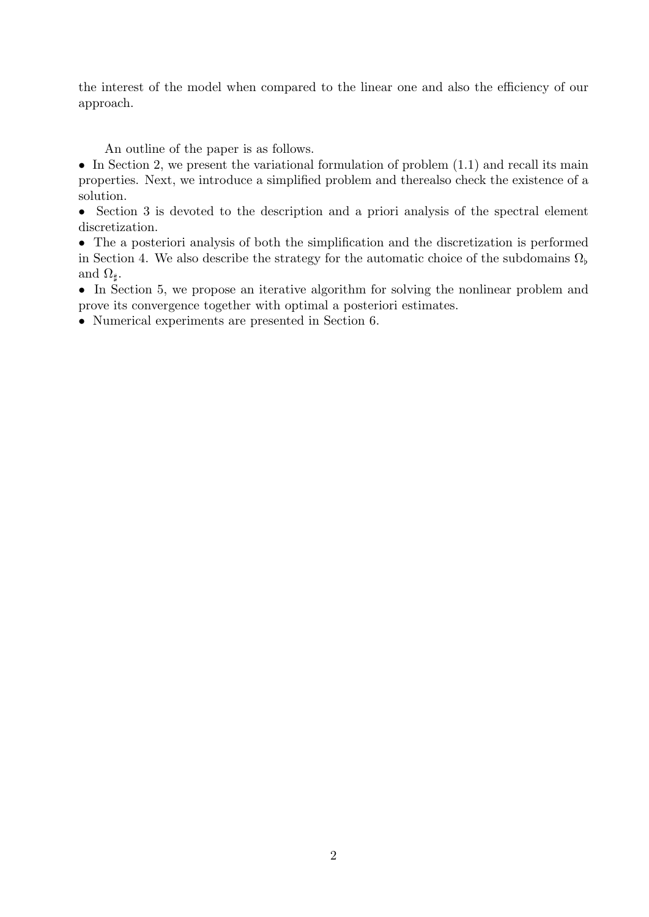the interest of the model when compared to the linear one and also the efficiency of our approach.

An outline of the paper is as follows.

• In Section 2, we present the variational formulation of problem  $(1.1)$  and recall its main properties. Next, we introduce a simplified problem and therealso check the existence of a solution.

• Section 3 is devoted to the description and a priori analysis of the spectral element discretization.

• The a posteriori analysis of both the simplification and the discretization is performed in Section 4. We also describe the strategy for the automatic choice of the subdomains  $\Omega_{\rm b}$ and  $\Omega_{\sharp}$ .

• In Section 5, we propose an iterative algorithm for solving the nonlinear problem and prove its convergence together with optimal a posteriori estimates.

• Numerical experiments are presented in Section 6.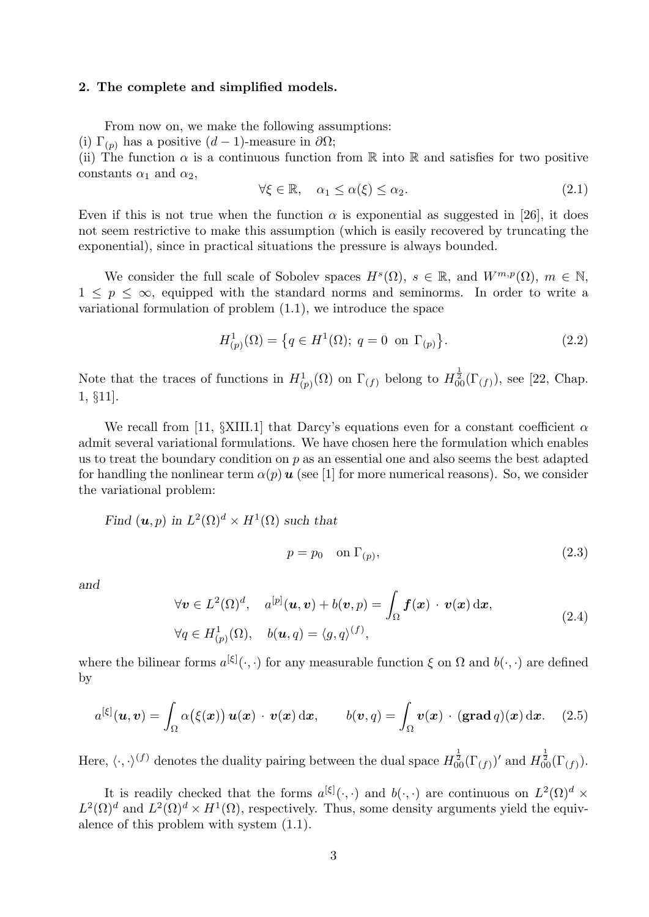### 2. The complete and simplified models.

From now on, we make the following assumptions:

(i)  $\Gamma_{(p)}$  has a positive  $(d-1)$ -measure in  $\partial\Omega$ ;

(ii) The function  $\alpha$  is a continuous function from  $\mathbb R$  into  $\mathbb R$  and satisfies for two positive constants  $\alpha_1$  and  $\alpha_2$ ,

$$
\forall \xi \in \mathbb{R}, \quad \alpha_1 \le \alpha(\xi) \le \alpha_2. \tag{2.1}
$$

Even if this is not true when the function  $\alpha$  is exponential as suggested in [26], it does not seem restrictive to make this assumption (which is easily recovered by truncating the exponential), since in practical situations the pressure is always bounded.

We consider the full scale of Sobolev spaces  $H^s(\Omega)$ ,  $s \in \mathbb{R}$ , and  $W^{m,p}(\Omega)$ ,  $m \in \mathbb{N}$ ,  $1 \leq p \leq \infty$ , equipped with the standard norms and seminorms. In order to write a variational formulation of problem (1.1), we introduce the space

$$
H_{(p)}^{1}(\Omega) = \{ q \in H^{1}(\Omega); \ q = 0 \text{ on } \Gamma_{(p)} \}.
$$
 (2.2)

Note that the traces of functions in  $H^1_{(p)}(\Omega)$  on  $\Gamma_{(f)}$  belong to  $H^{\frac{1}{2}}_{00}(\Gamma_{(f)})$ , see [22, Chap. 1, §11].

We recall from [11, §XIII.1] that Darcy's equations even for a constant coefficient  $\alpha$ admit several variational formulations. We have chosen here the formulation which enables us to treat the boundary condition on  $p$  as an essential one and also seems the best adapted for handling the nonlinear term  $\alpha(p)u$  (see [1] for more numerical reasons). So, we consider the variational problem:

Find 
$$
(u, p)
$$
 in  $L^2(\Omega)^d \times H^1(\Omega)$  such that

$$
p = p_0 \quad \text{on } \Gamma_{(p)},\tag{2.3}
$$

and

$$
\forall \mathbf{v} \in L^{2}(\Omega)^{d}, \quad a^{[p]}(\mathbf{u}, \mathbf{v}) + b(\mathbf{v}, p) = \int_{\Omega} \mathbf{f}(\mathbf{x}) \cdot \mathbf{v}(\mathbf{x}) d\mathbf{x},
$$
  
\n
$$
\forall q \in H_{(p)}^{1}(\Omega), \quad b(\mathbf{u}, q) = \langle g, q \rangle^{(f)},
$$
\n(2.4)

where the bilinear forms  $a^{[\xi]}(\cdot,\cdot)$  for any measurable function  $\xi$  on  $\Omega$  and  $b(\cdot,\cdot)$  are defined by

$$
a^{[\xi]}(\boldsymbol{u},\boldsymbol{v})=\int_{\Omega}\alpha(\xi(\boldsymbol{x}))\,\boldsymbol{u}(\boldsymbol{x})\,\cdot\,\boldsymbol{v}(\boldsymbol{x})\,\mathrm{d}\boldsymbol{x},\qquad b(\boldsymbol{v},q)=\int_{\Omega}\boldsymbol{v}(\boldsymbol{x})\,\cdot\,(\mathbf{grad}\,q)(\boldsymbol{x})\,\mathrm{d}\boldsymbol{x}.\tag{2.5}
$$

Here,  $\langle \cdot, \cdot \rangle^{(f)}$  denotes the duality pairing between the dual space  $H_{00}^{\frac{1}{2}}(\Gamma_{(f)})'$  and  $H_{00}^{\frac{1}{2}}(\Gamma_{(f)})$ .

It is readily checked that the forms  $a^{[\xi]}(\cdot,\cdot)$  and  $b(\cdot,\cdot)$  are continuous on  $L^2(\Omega)^d$  ×  $L^2(\Omega)^d$  and  $L^2(\Omega)^d \times H^1(\Omega)$ , respectively. Thus, some density arguments yield the equivalence of this problem with system (1.1).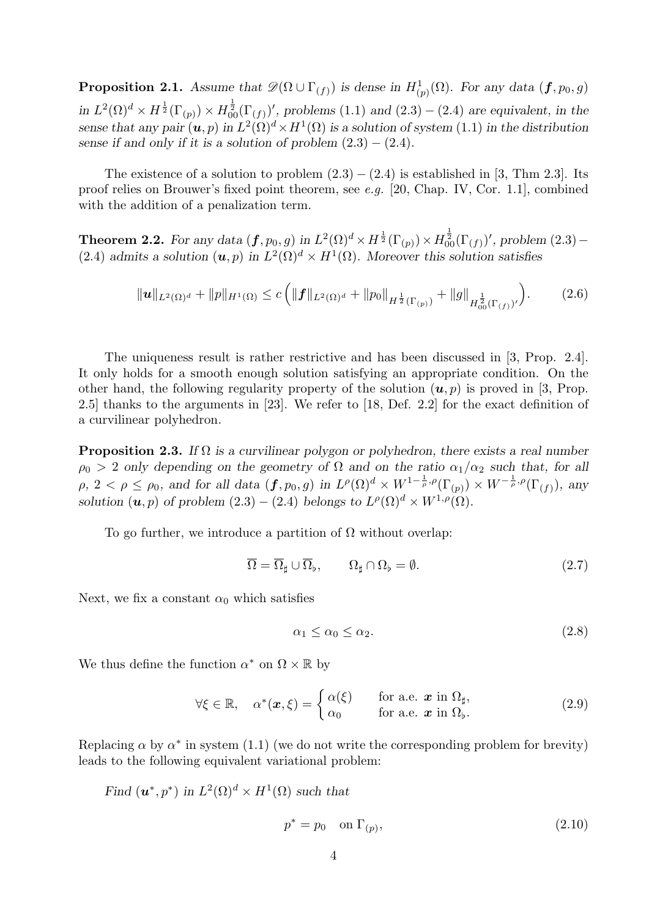**Proposition 2.1.** Assume that  $\mathscr{D}(\Omega \cup \Gamma_{(f)})$  is dense in  $H^1_{(p)}(\Omega)$ . For any data  $(f, p_0, g)$ in  $L^2(\Omega)^d \times H^{\frac{1}{2}}(\Gamma_{(p)}) \times H^{\frac{1}{2}}_{00}(\Gamma_{(f)})'$ , problems (1.1) and (2.3) – (2.4) are equivalent, in the sense that any pair  $(u, p)$  in  $L^2(\Omega)^d \times H^1(\Omega)$  is a solution of system (1.1) in the distribution sense if and only if it is a solution of problem  $(2.3) - (2.4)$ .

The existence of a solution to problem  $(2.3) - (2.4)$  is established in [3, Thm 2.3]. Its proof relies on Brouwer's fixed point theorem, see e.g. [20, Chap. IV, Cor. 1.1], combined with the addition of a penalization term.

**Theorem 2.2.** For any data  $(f, p_0, g)$  in  $L^2(\Omega)^d \times H^{\frac{1}{2}}(\Gamma_{(p)}) \times H^{\frac{1}{2}}_{00}(\Gamma_{(f)})'$ , problem  $(2.3)$  – (2.4) admits a solution  $(u, p)$  in  $L^2(\Omega)^d \times H^1(\Omega)$ . Moreover this solution satisfies

$$
\|\boldsymbol{u}\|_{L^{2}(\Omega)^{d}} + \|p\|_{H^{1}(\Omega)} \leq c \left( \|\boldsymbol{f}\|_{L^{2}(\Omega)^{d}} + \|p_{0}\|_{H^{\frac{1}{2}}(\Gamma_{(p)})} + \|g\|_{H^{\frac{1}{2}}_{00}(\Gamma_{(f)})'} \right).
$$
 (2.6)

The uniqueness result is rather restrictive and has been discussed in [3, Prop. 2.4]. It only holds for a smooth enough solution satisfying an appropriate condition. On the other hand, the following regularity property of the solution  $(u, p)$  is proved in [3, Prop. 2.5] thanks to the arguments in [23]. We refer to [18, Def. 2.2] for the exact definition of a curvilinear polyhedron.

**Proposition 2.3.** If  $\Omega$  is a curvilinear polygon or polyhedron, there exists a real number  $\rho_0 > 2$  only depending on the geometry of  $\Omega$  and on the ratio  $\alpha_1/\alpha_2$  such that, for all  $\rho, 2 < \rho \le \rho_0$ , and for all data  $(f, p_0, g)$  in  $L^{\rho}(\Omega)^d \times W^{1-\frac{1}{\rho}, \rho}(\Gamma_{(p)}) \times W^{-\frac{1}{\rho}, \rho}(\Gamma_{(f)}),$  any solution  $(\boldsymbol{u}, p)$  of problem  $(2.3) - (2.4)$  belongs to  $L^{\rho}(\Omega)^d \times W^{1,\rho}(\Omega)$ .

To go further, we introduce a partition of  $\Omega$  without overlap:

$$
\overline{\Omega} = \overline{\Omega}_{\sharp} \cup \overline{\Omega}_{\flat}, \qquad \Omega_{\sharp} \cap \Omega_{\flat} = \emptyset. \tag{2.7}
$$

Next, we fix a constant  $\alpha_0$  which satisfies

$$
\alpha_1 \le \alpha_0 \le \alpha_2. \tag{2.8}
$$

We thus define the function  $\alpha^*$  on  $\Omega \times \mathbb{R}$  by

$$
\forall \xi \in \mathbb{R}, \quad \alpha^*(\boldsymbol{x}, \xi) = \begin{cases} \alpha(\xi) & \text{for a.e. } \boldsymbol{x} \text{ in } \Omega_{\sharp}, \\ \alpha_0 & \text{for a.e. } \boldsymbol{x} \text{ in } \Omega_{\flat}. \end{cases}
$$
 (2.9)

Replacing  $\alpha$  by  $\alpha^*$  in system (1.1) (we do not write the corresponding problem for brevity) leads to the following equivalent variational problem:

Find  $(\boldsymbol{u}^*, p^*)$  in  $L^2(\Omega)^d \times H^1(\Omega)$  such that

$$
p^* = p_0 \quad \text{on } \Gamma_{(p)},\tag{2.10}
$$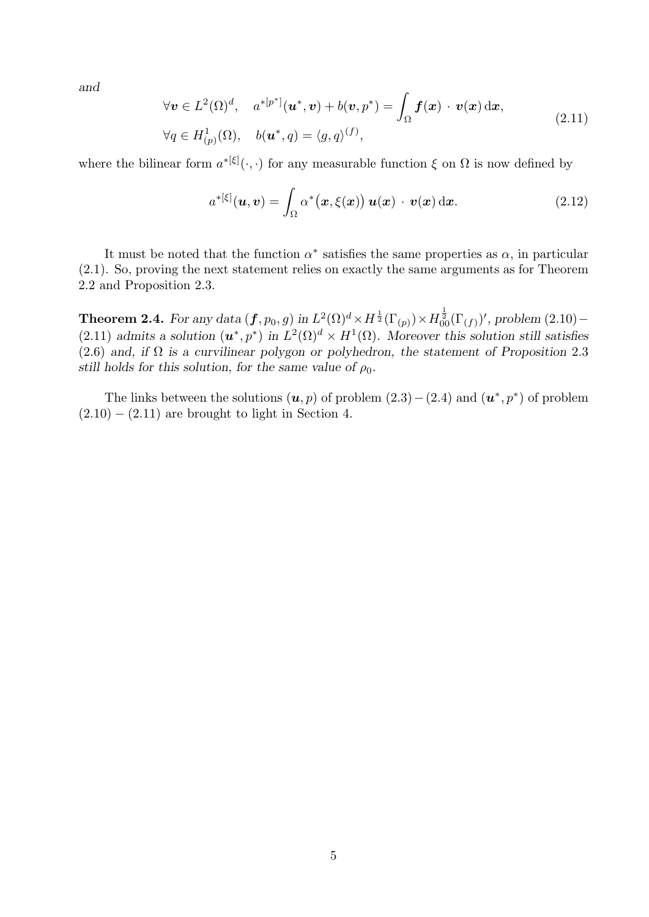and

$$
\forall \mathbf{v} \in L^{2}(\Omega)^{d}, \quad a^{*[p^{*}]}(\mathbf{u}^{*}, \mathbf{v}) + b(\mathbf{v}, p^{*}) = \int_{\Omega} \mathbf{f}(\mathbf{x}) \cdot \mathbf{v}(\mathbf{x}) d\mathbf{x},
$$
  
\n
$$
\forall q \in H_{(p)}^{1}(\Omega), \quad b(\mathbf{u}^{*}, q) = \langle g, q \rangle^{(f)},
$$
\n(2.11)

where the bilinear form  $a^{*[\xi]}(\cdot,\cdot)$  for any measurable function  $\xi$  on  $\Omega$  is now defined by

$$
a^{*[\xi]}(\boldsymbol{u},\boldsymbol{v}) = \int_{\Omega} \alpha^{*}(\boldsymbol{x},\xi(\boldsymbol{x})) \boldsymbol{u}(\boldsymbol{x}) \cdot \boldsymbol{v}(\boldsymbol{x}) \,d\boldsymbol{x}.
$$
 (2.12)

It must be noted that the function  $\alpha^*$  satisfies the same properties as  $\alpha$ , in particular (2.1). So, proving the next statement relies on exactly the same arguments as for Theorem 2.2 and Proposition 2.3.

**Theorem 2.4.** For any data  $(f, p_0, g)$  in  $L^2(\Omega)^d \times H^{\frac{1}{2}}(\Gamma_{(p)}) \times H^{\frac{1}{2}}_{00}(\Gamma_{(f)})'$ , problem  $(2.10)$  – (2.11) admits a solution  $(u^*, p^*)$  in  $L^2(\Omega)^d \times H^1(\Omega)$ . Moreover this solution still satisfies (2.6) and, if  $\Omega$  is a curvilinear polygon or polyhedron, the statement of Proposition 2.3 still holds for this solution, for the same value of  $\rho_0$ .

The links between the solutions  $(u, p)$  of problem  $(2.3) - (2.4)$  and  $(u^*, p^*)$  of problem  $(2.10) - (2.11)$  are brought to light in Section 4.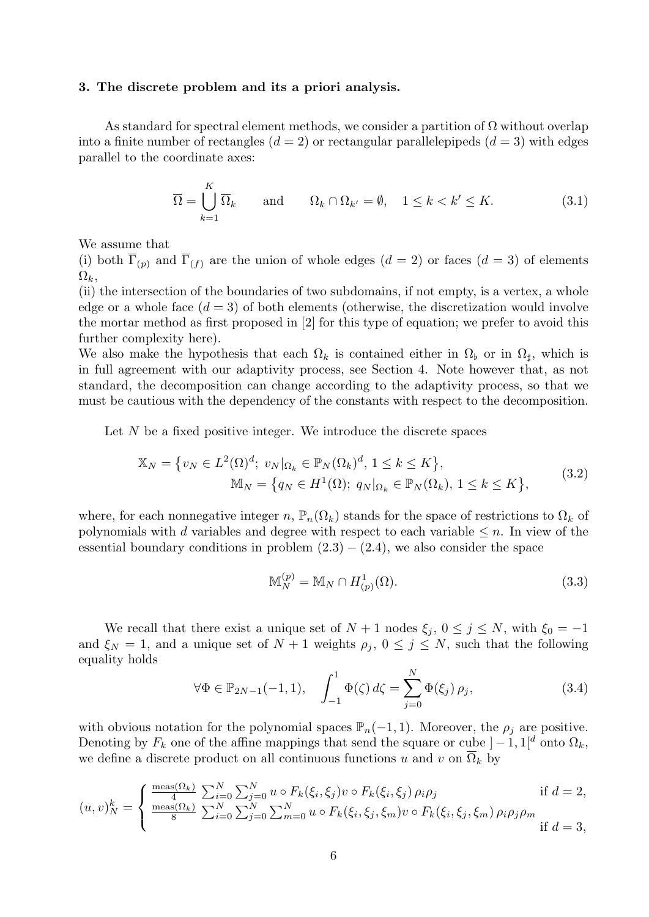#### 3. The discrete problem and its a priori analysis.

As standard for spectral element methods, we consider a partition of  $\Omega$  without overlap into a finite number of rectangles  $(d = 2)$  or rectangular parallelepipeds  $(d = 3)$  with edges parallel to the coordinate axes:

$$
\overline{\Omega} = \bigcup_{k=1}^{K} \overline{\Omega}_k \quad \text{and} \quad \Omega_k \cap \Omega_{k'} = \emptyset, \quad 1 \le k < k' \le K. \tag{3.1}
$$

We assume that

(i) both  $\overline{\Gamma}_{(p)}$  and  $\overline{\Gamma}_{(f)}$  are the union of whole edges  $(d = 2)$  or faces  $(d = 3)$  of elements  $\Omega_k$ 

(ii) the intersection of the boundaries of two subdomains, if not empty, is a vertex, a whole edge or a whole face  $(d = 3)$  of both elements (otherwise, the discretization would involve the mortar method as first proposed in [2] for this type of equation; we prefer to avoid this further complexity here).

We also make the hypothesis that each  $\Omega_k$  is contained either in  $\Omega_{\flat}$  or in  $\Omega_{\sharp}$ , which is in full agreement with our adaptivity process, see Section 4. Note however that, as not standard, the decomposition can change according to the adaptivity process, so that we must be cautious with the dependency of the constants with respect to the decomposition.

Let  $N$  be a fixed positive integer. We introduce the discrete spaces

$$
\mathbb{X}_N = \{ v_N \in L^2(\Omega)^d; \ v_N |_{\Omega_k} \in \mathbb{P}_N(\Omega_k)^d, 1 \le k \le K \},\
$$
  

$$
\mathbb{M}_N = \{ q_N \in H^1(\Omega); \ q_N |_{\Omega_k} \in \mathbb{P}_N(\Omega_k), 1 \le k \le K \},
$$
  
(3.2)

where, for each nonnegative integer n,  $\mathbb{P}_n(\Omega_k)$  stands for the space of restrictions to  $\Omega_k$  of polynomials with d variables and degree with respect to each variable  $\leq n$ . In view of the essential boundary conditions in problem  $(2.3) - (2.4)$ , we also consider the space

$$
\mathbb{M}_N^{(p)} = \mathbb{M}_N \cap H^1_{(p)}(\Omega). \tag{3.3}
$$

We recall that there exist a unique set of  $N + 1$  nodes  $\xi_j$ ,  $0 \le j \le N$ , with  $\xi_0 = -1$ and  $\xi_N = 1$ , and a unique set of  $N + 1$  weights  $\rho_j$ ,  $0 \le j \le N$ , such that the following equality holds

$$
\forall \Phi \in \mathbb{P}_{2N-1}(-1,1), \quad \int_{-1}^{1} \Phi(\zeta) \, d\zeta = \sum_{j=0}^{N} \Phi(\xi_j) \, \rho_j,\tag{3.4}
$$

with obvious notation for the polynomial spaces  $\mathbb{P}_n(-1, 1)$ . Moreover, the  $\rho_j$  are positive. Denoting by  $F_k$  one of the affine mappings that send the square or cube  $]-1,1[^d$  onto  $\Omega_k$ , we define a discrete product on all continuous functions u and v on  $\overline{\Omega}_k$  by

$$
(u, v)_N^k = \begin{cases} \frac{\text{meas}(\Omega_k)}{4} \sum_{i=0}^N \sum_{j=0}^N u \circ F_k(\xi_i, \xi_j) v \circ F_k(\xi_i, \xi_j) \rho_i \rho_j & \text{if } d = 2, \\ \frac{\text{meas}(\Omega_k)}{8} \sum_{i=0}^N \sum_{j=0}^N \sum_{m=0}^N u \circ F_k(\xi_i, \xi_j, \xi_m) v \circ F_k(\xi_i, \xi_j, \xi_m) \rho_i \rho_j \rho_m & \text{if } d = 3, \end{cases}
$$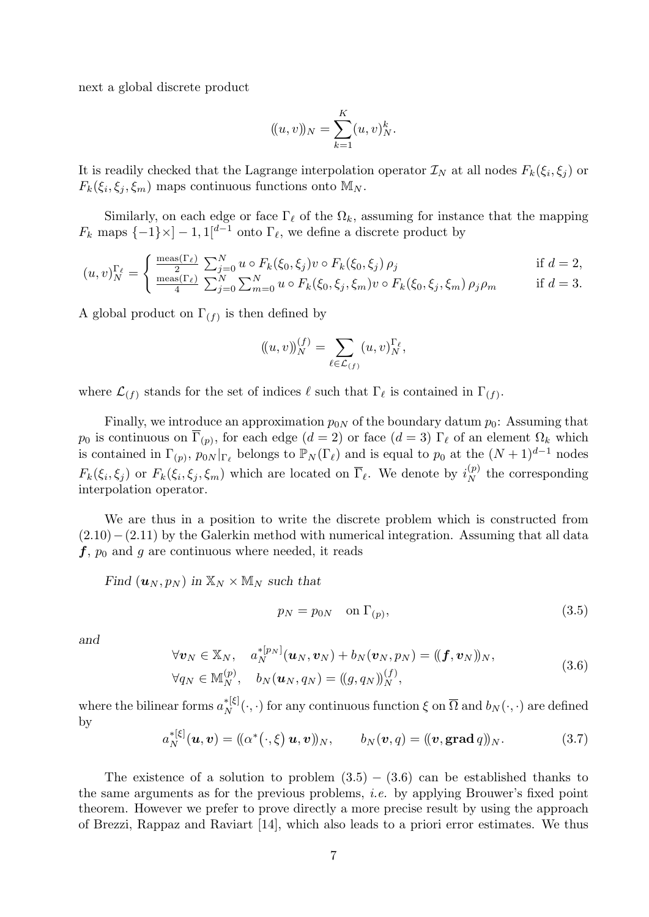next a global discrete product

$$
(\!(u,v)\!)_N = \sum_{k=1}^K (u,v)^k_N.
$$

It is readily checked that the Lagrange interpolation operator  $\mathcal{I}_N$  at all nodes  $F_k(\xi_i, \xi_j)$  or  $F_k(\xi_i, \xi_j, \xi_m)$  maps continuous functions onto  $\mathbb{M}_N$ .

Similarly, on each edge or face  $\Gamma_\ell$  of the  $\Omega_k$ , assuming for instance that the mapping  $F_k$  maps  $\{-1\} \times ]-1,1[^{d-1}$  onto  $\Gamma_\ell$ , we define a discrete product by

$$
(u,v)_{N}^{\Gamma_{\ell}} = \begin{cases} \frac{\text{meas}(\Gamma_{\ell})}{2} \sum_{j=0}^{N} u \circ F_{k}(\xi_{0}, \xi_{j}) v \circ F_{k}(\xi_{0}, \xi_{j}) \rho_{j} & \text{if } d = 2, \\ \frac{\text{meas}(\Gamma_{\ell})}{4} \sum_{j=0}^{N} \sum_{m=0}^{N} u \circ F_{k}(\xi_{0}, \xi_{j}, \xi_{m}) v \circ F_{k}(\xi_{0}, \xi_{j}, \xi_{m}) \rho_{j} \rho_{m} & \text{if } d = 3. \end{cases}
$$

A global product on  $\Gamma_{(f)}$  is then defined by

$$
(\!(u,v)\!)_N^{(f)} = \sum_{\ell \in \mathcal{L}_{(f)}} (u,v)_{N}^{\Gamma_{\ell}},
$$

where  $\mathcal{L}_{(f)}$  stands for the set of indices  $\ell$  such that  $\Gamma_{\ell}$  is contained in  $\Gamma_{(f)}$ .

Finally, we introduce an approximation  $p_{0N}$  of the boundary datum  $p_0$ : Assuming that  $p_0$  is continuous on  $\Gamma_{(p)}$ , for each edge  $(d = 2)$  or face  $(d = 3) \Gamma_{\ell}$  of an element  $\Omega_k$  which is contained in  $\Gamma_{(p)}, p_{0N}|_{\Gamma_{\ell}}$  belongs to  $\mathbb{P}_N(\Gamma_{\ell})$  and is equal to  $p_0$  at the  $(N+1)^{d-1}$  nodes  $F_k(\xi_i, \xi_j)$  or  $F_k(\xi_i, \xi_j, \xi_m)$  which are located on  $\overline{\Gamma}_{\ell}$ . We denote by  $i_N^{(p)}$  the corresponding interpolation operator.

We are thus in a position to write the discrete problem which is constructed from  $(2.10)$ − $(2.11)$  by the Galerkin method with numerical integration. Assuming that all data  $f, p_0$  and g are continuous where needed, it reads

Find  $(\boldsymbol{u}_N, p_N)$  in  $\mathbb{X}_N \times \mathbb{M}_N$  such that

$$
p_N = p_{0N} \quad \text{on } \Gamma_{(p)},\tag{3.5}
$$

and

$$
\forall \boldsymbol{v}_N \in \mathbb{X}_N, \quad a_N^{*[p_N]}(\boldsymbol{u}_N, \boldsymbol{v}_N) + b_N(\boldsymbol{v}_N, p_N) = ((\boldsymbol{f}, \boldsymbol{v}_N))_N, \forall q_N \in \mathbb{M}_N^{(p)}, \quad b_N(\boldsymbol{u}_N, q_N) = ((g, q_N))_N^{(f)},
$$
\n(3.6)

where the bilinear forms  $a_N^{*[\xi]}(\cdot,\cdot)$  for any continuous function  $\xi$  on  $\overline{\Omega}$  and  $b_N(\cdot,\cdot)$  are defined by

$$
a_N^{*[\xi]}(\boldsymbol{u},\boldsymbol{v}) = ((\alpha^*(\cdot,\xi)\,\boldsymbol{u},\boldsymbol{v}))_N, \qquad b_N(\boldsymbol{v},q) = ((\boldsymbol{v},\mathbf{grad}\,q))_N. \tag{3.7}
$$

The existence of a solution to problem  $(3.5) - (3.6)$  can be established thanks to the same arguments as for the previous problems, i.e. by applying Brouwer's fixed point theorem. However we prefer to prove directly a more precise result by using the approach of Brezzi, Rappaz and Raviart [14], which also leads to a priori error estimates. We thus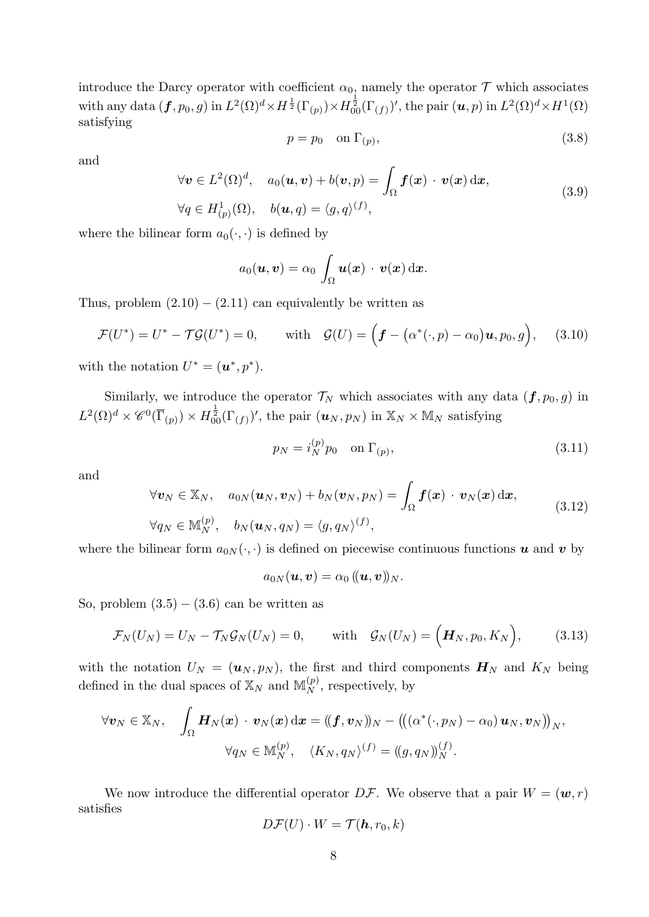introduce the Darcy operator with coefficient  $\alpha_0$ , namely the operator  $\mathcal T$  which associates  $\text{with any data }(\boldsymbol{f},p_0,g)\text{ in }L^2(\Omega)^d\times H^{\frac{1}{2}}(\Gamma_{(p)})\times H^{\frac{1}{2}}_{00}(\Gamma_{(f)})', \text{ the pair }(\boldsymbol{u},p)\text{ in }L^2(\Omega)^d\times H^1(\Omega)$ satisfying

$$
p = p_0 \quad \text{on } \Gamma_{(p)},\tag{3.8}
$$

and

$$
\forall \mathbf{v} \in L^{2}(\Omega)^{d}, \quad a_{0}(\mathbf{u}, \mathbf{v}) + b(\mathbf{v}, p) = \int_{\Omega} \mathbf{f}(\mathbf{x}) \cdot \mathbf{v}(\mathbf{x}) d\mathbf{x},
$$
  
\n
$$
\forall q \in H_{(p)}^{1}(\Omega), \quad b(\mathbf{u}, q) = \langle g, q \rangle^{(f)},
$$
\n(3.9)

where the bilinear form  $a_0(\cdot, \cdot)$  is defined by

$$
a_0(\boldsymbol{u},\boldsymbol{v})=\alpha_0\,\int_\Omega \boldsymbol{u}(\boldsymbol{x})\,\cdot\,\boldsymbol{v}(\boldsymbol{x})\,\mathrm{d}\boldsymbol{x}.
$$

Thus, problem  $(2.10) - (2.11)$  can equivalently be written as

$$
\mathcal{F}(U^*) = U^* - \mathcal{T}\mathcal{G}(U^*) = 0, \quad \text{with} \quad \mathcal{G}(U) = \Big(\boldsymbol{f} - (\alpha^*(\cdot, p) - \alpha_0)\boldsymbol{u}, p_0, g\Big), \quad (3.10)
$$

with the notation  $U^* = (\boldsymbol{u}^*, p^*).$ 

Similarly, we introduce the operator  $\mathcal{T}_N$  which associates with any data  $(f, p_0, g)$  in  $L^2(\Omega)^d \times \mathscr{C}^0(\overline{\Gamma}_{(p)}) \times H^{\frac{1}{2}}_{00}(\Gamma_{(f)})'$ , the pair  $(\boldsymbol{u}_N, p_N)$  in  $\mathbb{X}_N \times \mathbb{M}_N$  satisfying

$$
p_N = i_N^{(p)} p_0 \quad \text{on } \Gamma_{(p)},\tag{3.11}
$$

and

$$
\forall \boldsymbol{v}_N \in \mathbb{X}_N, \quad a_{0N}(\boldsymbol{u}_N, \boldsymbol{v}_N) + b_N(\boldsymbol{v}_N, p_N) = \int_{\Omega} \boldsymbol{f}(\boldsymbol{x}) \cdot \boldsymbol{v}_N(\boldsymbol{x}) \, d\boldsymbol{x},
$$
  
\n
$$
\forall q_N \in \mathbb{M}_N^{(p)}, \quad b_N(\boldsymbol{u}_N, q_N) = \langle g, q_N \rangle^{(f)},
$$
\n(3.12)

where the bilinear form  $a_{0N}(\cdot, \cdot)$  is defined on piecewise continuous functions u and v by

$$
a_{0N}(\boldsymbol{u},\boldsymbol{v})=\alpha_0\, (\!(\boldsymbol{u},\boldsymbol{v})\!)_N.
$$

So, problem  $(3.5) - (3.6)$  can be written as

$$
\mathcal{F}_N(U_N) = U_N - \mathcal{T}_N \mathcal{G}_N(U_N) = 0, \quad \text{with} \quad \mathcal{G}_N(U_N) = \Big( \boldsymbol{H}_N, p_0, K_N \Big), \tag{3.13}
$$

with the notation  $U_N = (u_N, p_N)$ , the first and third components  $H_N$  and  $K_N$  being defined in the dual spaces of  $\mathbb{X}_N$  and  $\mathbb{M}_N^{(p)}$ , respectively, by

$$
\forall \boldsymbol{v}_N \in \mathbb{X}_N, \quad \int_{\Omega} \boldsymbol{H}_N(\boldsymbol{x}) \, \cdot \, \boldsymbol{v}_N(\boldsymbol{x}) \, \mathrm{d} \boldsymbol{x} = \left( (\boldsymbol{f}, \boldsymbol{v}_N) \right)_N - \left( \left( (\alpha^*(\cdot, p_N) - \alpha_0) \, \boldsymbol{u}_N, \boldsymbol{v}_N \right) \right)_N, \\ \forall q_N \in \mathbb{M}_N^{(p)}, \quad \langle K_N, q_N \rangle^{(f)} = \left( (g, q_N) \right)_N^{(f)}.
$$

We now introduce the differential operator  $D\mathcal{F}$ . We observe that a pair  $W = (\boldsymbol{w}, r)$ satisfies

$$
D\mathcal{F}(U)\cdot W=\mathcal{T}(\boldsymbol{h},r_0,k)
$$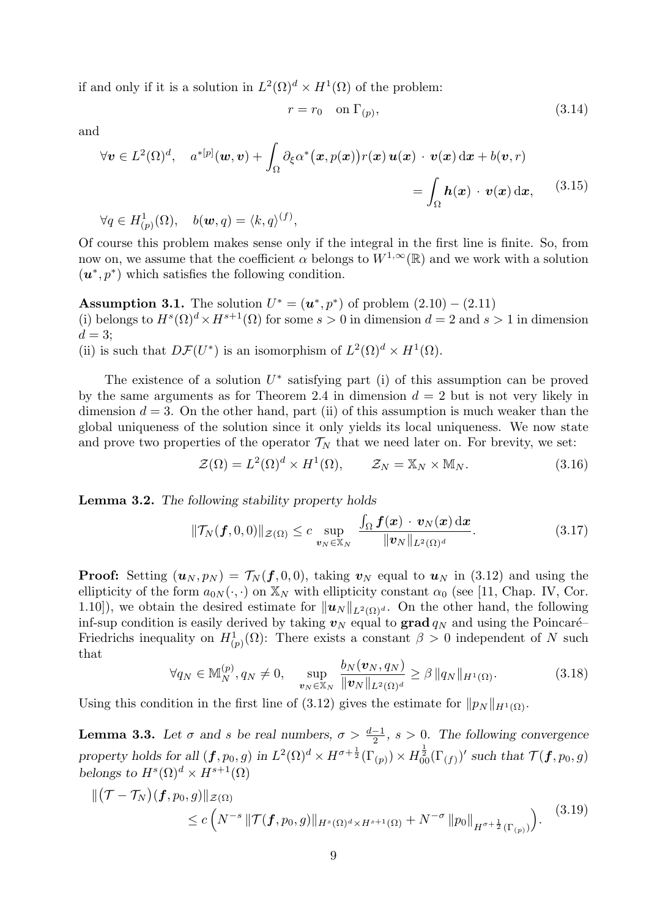if and only if it is a solution in  $L^2(\Omega)^d \times H^1(\Omega)$  of the problem:

$$
r = r_0 \quad \text{on } \Gamma_{(p)},\tag{3.14}
$$

and

$$
\forall \mathbf{v} \in L^{2}(\Omega)^{d}, \quad a^{*[p]}(\mathbf{w}, \mathbf{v}) + \int_{\Omega} \partial_{\xi} \alpha^{*}(\mathbf{x}, p(\mathbf{x})) r(\mathbf{x}) \mathbf{u}(\mathbf{x}) \cdot \mathbf{v}(\mathbf{x}) \, d\mathbf{x} + b(\mathbf{v}, r)
$$
\n
$$
= \int_{\Omega} \mathbf{h}(\mathbf{x}) \cdot \mathbf{v}(\mathbf{x}) \, d\mathbf{x}, \qquad (3.15)
$$
\n
$$
\forall q \in H_{(p)}^{1}(\Omega), \quad b(\mathbf{w}, q) = \langle k, q \rangle^{(f)},
$$

Of course this problem makes sense only if the integral in the first line is finite. So, from now on, we assume that the coefficient  $\alpha$  belongs to  $W^{1,\infty}(\mathbb{R})$  and we work with a solution  $(\boldsymbol{u}^*, p^*)$  which satisfies the following condition.

**Assumption 3.1.** The solution  $U^* = (u^*, p^*)$  of problem  $(2.10) - (2.11)$ (i) belongs to  $H^s(\Omega)^d \times H^{s+1}(\Omega)$  for some  $s > 0$  in dimension  $d = 2$  and  $s > 1$  in dimension  $d=3$ :

(ii) is such that  $D\mathcal{F}(U^*)$  is an isomorphism of  $L^2(\Omega)^d \times H^1(\Omega)$ .

The existence of a solution  $U^*$  satisfying part (i) of this assumption can be proved by the same arguments as for Theorem 2.4 in dimension  $d = 2$  but is not very likely in dimension  $d = 3$ . On the other hand, part (ii) of this assumption is much weaker than the global uniqueness of the solution since it only yields its local uniqueness. We now state and prove two properties of the operator  $\mathcal{T}_N$  that we need later on. For brevity, we set:

$$
\mathcal{Z}(\Omega) = L^2(\Omega)^d \times H^1(\Omega), \qquad \mathcal{Z}_N = \mathbb{X}_N \times \mathbb{M}_N. \tag{3.16}
$$

Lemma 3.2. The following stability property holds

$$
\|\mathcal{T}_N(\boldsymbol{f},0,0)\|_{\mathcal{Z}(\Omega)} \leq c \sup_{\boldsymbol{v}_N \in \mathbb{X}_N} \frac{\int_{\Omega} \boldsymbol{f}(\boldsymbol{x}) \cdot \boldsymbol{v}_N(\boldsymbol{x}) \, \mathrm{d}\boldsymbol{x}}{\|\boldsymbol{v}_N\|_{L^2(\Omega)^d}}.
$$
(3.17)

**Proof:** Setting  $(u_N, p_N) = \mathcal{T}_N(\boldsymbol{f}, 0, 0)$ , taking  $v_N$  equal to  $u_N$  in (3.12) and using the ellipticity of the form  $a_{0N}(\cdot, \cdot)$  on  $\mathbb{X}_N$  with ellipticity constant  $\alpha_0$  (see [11, Chap. IV, Cor. 1.10]), we obtain the desired estimate for  $||u_N||_{L^2(\Omega)^d}$ . On the other hand, the following inf-sup condition is easily derived by taking  $v_N$  equal to grad  $q_N$  and using the Poincaré– Friedrichs inequality on  $H^1_{(p)}(\Omega)$ : There exists a constant  $\beta > 0$  independent of N such that

$$
\forall q_N \in \mathbb{M}_N^{(p)}, q_N \neq 0, \quad \sup_{\boldsymbol{v}_N \in \mathbb{X}_N} \frac{b_N(\boldsymbol{v}_N, q_N)}{\|\boldsymbol{v}_N\|_{L^2(\Omega)^d}} \geq \beta \, \|q_N\|_{H^1(\Omega)}.
$$
 (3.18)

Using this condition in the first line of (3.12) gives the estimate for  $||p_N||_{H^1(\Omega)}$ .

**Lemma 3.3.** Let  $\sigma$  and s be real numbers,  $\sigma > \frac{d-1}{2}$ ,  $s > 0$ . The following convergence property holds for all  $(\boldsymbol{f}, p_0, g)$  in  $L^2(\Omega)^d \times H^{\sigma + \frac{1}{2}}(\Gamma_{(p)}) \times H^{\frac{1}{2}}_{00}(\Gamma_{(f)})'$  such that  $\mathcal{T}(\boldsymbol{f}, p_0, g)$ belongs to  $H^s(\Omega)^d \times H^{s+1}(\Omega)$ 

$$
\|(\mathcal{T} - \mathcal{T}_N)(f, p_0, g)\|_{\mathcal{Z}(\Omega)} \le c \left( N^{-s} \|\mathcal{T}(f, p_0, g)\|_{H^s(\Omega)^d \times H^{s+1}(\Omega)} + N^{-\sigma} \|p_0\|_{H^{\sigma + \frac{1}{2}}(\Gamma_{(p)})} \right). \tag{3.19}
$$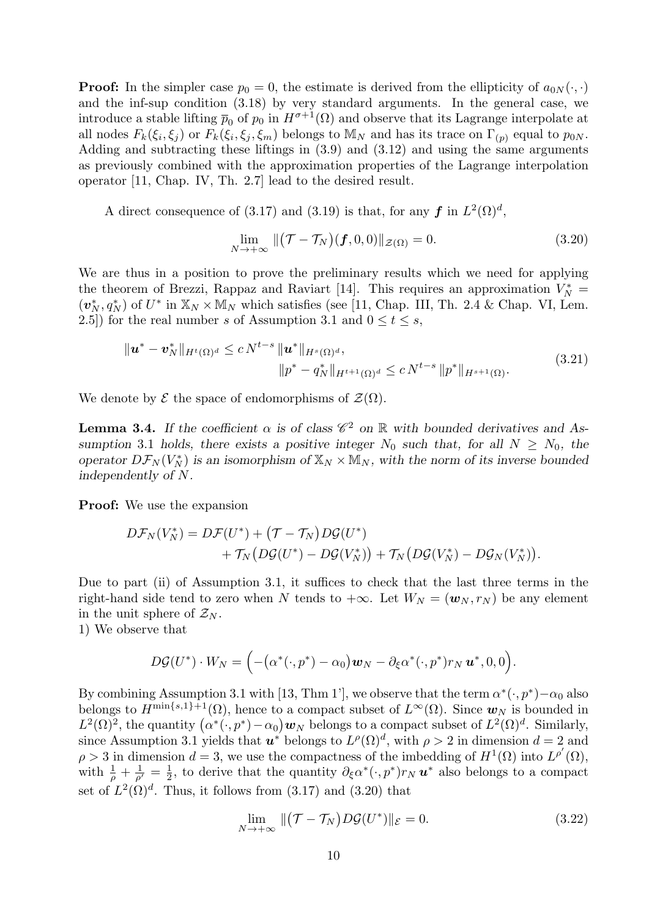**Proof:** In the simpler case  $p_0 = 0$ , the estimate is derived from the ellipticity of  $a_{0N}(\cdot, \cdot)$ and the inf-sup condition (3.18) by very standard arguments. In the general case, we introduce a stable lifting  $\bar{p}_0$  of  $p_0$  in  $H^{\sigma+1}(\Omega)$  and observe that its Lagrange interpolate at all nodes  $F_k(\xi_i, \xi_j)$  or  $F_k(\xi_i, \xi_j, \xi_m)$  belongs to  $\mathbb{M}_N$  and has its trace on  $\Gamma_{(p)}$  equal to  $p_{0N}$ . Adding and subtracting these liftings in (3.9) and (3.12) and using the same arguments as previously combined with the approximation properties of the Lagrange interpolation operator [11, Chap. IV, Th. 2.7] lead to the desired result.

A direct consequence of (3.17) and (3.19) is that, for any  $f$  in  $L^2(\Omega)^d$ ,

$$
\lim_{N \to +\infty} \|(\mathcal{T} - \mathcal{T}_N)(\mathbf{f}, 0, 0)\|_{\mathcal{Z}(\Omega)} = 0.
$$
\n(3.20)

We are thus in a position to prove the preliminary results which we need for applying the theorem of Brezzi, Rappaz and Raviart [14]. This requires an approximation  $V_N^*$  $(v_N^*, q_N^*)$  of  $U^*$  in  $\mathbb{X}_N \times \mathbb{M}_N$  which satisfies (see [11, Chap. III, Th. 2.4 & Chap. VI, Lem. 2.5) for the real number s of Assumption 3.1 and  $0 \le t \le s$ ,

$$
\| \boldsymbol{u}^* - \boldsymbol{v}_N^* \|_{H^t(\Omega)^d} \le c N^{t-s} \| \boldsymbol{u}^* \|_{H^s(\Omega)^d},
$$
  

$$
\| p^* - q^*_N \|_{H^{t+1}(\Omega)^d} \le c N^{t-s} \| p^* \|_{H^{s+1}(\Omega)}.
$$
 (3.21)

We denote by  $\mathcal E$  the space of endomorphisms of  $\mathcal Z(\Omega)$ .

**Lemma 3.4.** If the coefficient  $\alpha$  is of class  $\mathscr{C}^2$  on  $\mathbb{R}$  with bounded derivatives and Assumption 3.1 holds, there exists a positive integer  $N_0$  such that, for all  $N \ge N_0$ , the operator  $D\mathcal{F}_N(V_N^*)$  is an isomorphism of  $\mathbb{X}_N\times \mathbb{M}_N$ , with the norm of its inverse bounded independently of N.

Proof: We use the expansion

$$
D\mathcal{F}_N(V_N^*) = D\mathcal{F}(U^*) + (\mathcal{T} - \mathcal{T}_N)D\mathcal{G}(U^*) + \mathcal{T}_N(D\mathcal{G}(U^*) - D\mathcal{G}(V_N^*)) + \mathcal{T}_N(D\mathcal{G}(V_N^*) - D\mathcal{G}_N(V_N^*)).
$$

Due to part (ii) of Assumption 3.1, it suffices to check that the last three terms in the right-hand side tend to zero when N tends to  $+\infty$ . Let  $W_N = (\mathbf{w}_N, r_N)$  be any element in the unit sphere of  $\mathcal{Z}_N$ .

1) We observe that

$$
D\mathcal{G}(U^*)\cdot W_N=\Big(-\big(\alpha^*(\cdot,p^*)-\alpha_0\big)\boldsymbol{w}_N-\partial_\xi\alpha^*(\cdot,p^*)r_N\,\boldsymbol{u}^*,0,0\Big).
$$

By combining Assumption 3.1 with [13, Thm 1'], we observe that the term  $\alpha^*(\cdot, p^*) - \alpha_0$  also belongs to  $H^{\min\{s,1\}+1}(\Omega)$ , hence to a compact subset of  $L^{\infty}(\Omega)$ . Since  $w_N$  is bounded in  $L^2(\Omega)^2$ , the quantity  $(\alpha^*(\cdot,p^*)-\alpha_0)\mathbf{w}_N$  belongs to a compact subset of  $L^2(\Omega)^d$ . Similarly, since Assumption 3.1 yields that  $u^*$  belongs to  $L^{\rho}(\Omega)^d$ , with  $\rho > 2$  in dimension  $d = 2$  and  $\rho > 3$  in dimension  $d = 3$ , we use the compactness of the imbedding of  $H^1(\Omega)$  into  $L^{\rho'}(\Omega)$ , with  $\frac{1}{\rho} + \frac{1}{\rho'} = \frac{1}{2}$  $\frac{1}{2}$ , to derive that the quantity  $\partial_{\xi} \alpha^* (\cdot, p^*) r_N \mathbf{u}^*$  also belongs to a compact set of  $L^2(\Omega)^d$ . Thus, it follows from (3.17) and (3.20) that

$$
\lim_{N \to +\infty} \|(\mathcal{T} - \mathcal{T}_N) D\mathcal{G}(U^*)\|_{\mathcal{E}} = 0.
$$
\n(3.22)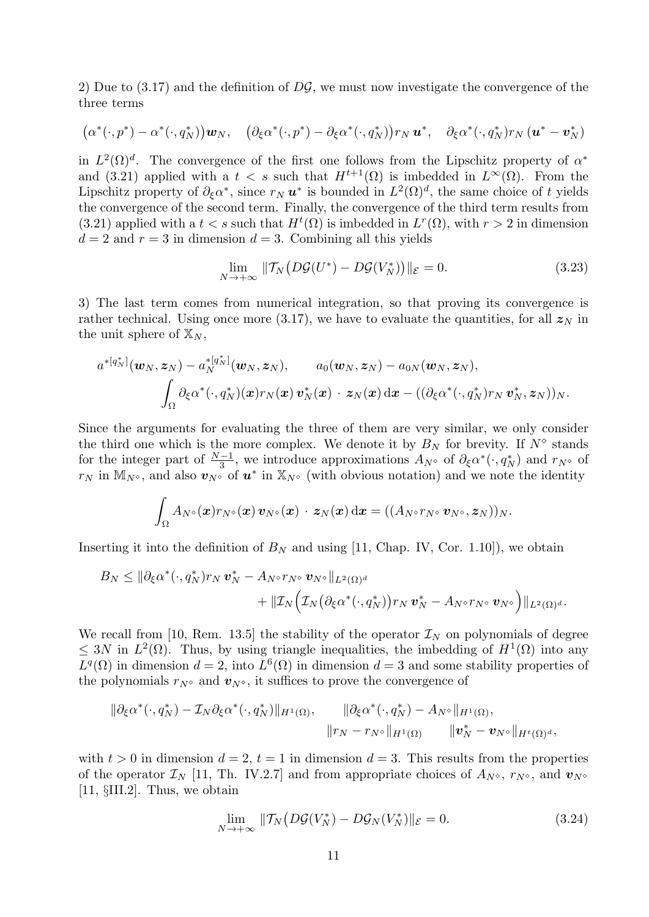2) Due to  $(3.17)$  and the definition of  $D\mathcal{G}$ , we must now investigate the convergence of the three terms

$$
(\alpha^*(\cdot,p^*)-\alpha^*(\cdot,q_N^*))\mathbf{w}_N, \quad (\partial_{\xi}\alpha^*(\cdot,p^*)-\partial_{\xi}\alpha^*(\cdot,q_N^*))r_N\mathbf{u}^*, \quad \partial_{\xi}\alpha^*(\cdot,q_N^*)r_N\left(\mathbf{u}^*-\mathbf{v}_N^*\right)
$$

in  $L^2(\Omega)^d$ . The convergence of the first one follows from the Lipschitz property of  $\alpha^*$ and (3.21) applied with a  $t < s$  such that  $H^{t+1}(\Omega)$  is imbedded in  $L^{\infty}(\Omega)$ . From the Lipschitz property of  $\partial_{\xi}\alpha^*$ , since  $r_N u^*$  is bounded in  $L^2(\Omega)^d$ , the same choice of t yields the convergence of the second term. Finally, the convergence of the third term results from (3.21) applied with a  $t < s$  such that  $H^t(\Omega)$  is imbedded in  $L^r(\Omega)$ , with  $r > 2$  in dimension  $d = 2$  and  $r = 3$  in dimension  $d = 3$ . Combining all this yields

$$
\lim_{N \to +\infty} \|\mathcal{T}_N\big(D\mathcal{G}(U^*) - D\mathcal{G}(V_N^*)\big)\|_{\mathcal{E}} = 0. \tag{3.23}
$$

3) The last term comes from numerical integration, so that proving its convergence is rather technical. Using once more (3.17), we have to evaluate the quantities, for all  $z_N$  in the unit sphere of  $\mathbb{X}_N$ ,

$$
a^{*[q_N^*]}(\boldsymbol{w}_N, \boldsymbol{z}_N) - a_N^{*[q_N^*]}(\boldsymbol{w}_N, \boldsymbol{z}_N), \qquad a_0(\boldsymbol{w}_N, \boldsymbol{z}_N) - a_{0N}(\boldsymbol{w}_N, \boldsymbol{z}_N),
$$

$$
\int_{\Omega} \partial_{\xi} \alpha^*(\cdot, q_N^*)(\boldsymbol{x}) r_N(\boldsymbol{x}) \, \boldsymbol{v}_N^*(\boldsymbol{x}) \, \cdot \, \boldsymbol{z}_N(\boldsymbol{x}) \, \mathrm{d}\boldsymbol{x} - ((\partial_{\xi} \alpha^*(\cdot, q_N^*) r_N \, \boldsymbol{v}_N^*, \boldsymbol{z}_N))_N.
$$

Since the arguments for evaluating the three of them are very similar, we only consider the third one which is the more complex. We denote it by  $B<sub>N</sub>$  for brevity. If  $N<sup>°</sup>$  stands for the integer part of  $\frac{N-1}{3}$ , we introduce approximations  $A_{N^{\diamond}}$  of  $\partial_{\xi}\alpha^*(\cdot, q_N^*)$  and  $r_{N^{\diamond}}$  of  $r_N$  in  $\mathbb{M}_{N^{\diamond}}$ , and also  $v_{N^{\diamond}}$  of  $u^*$  in  $\mathbb{X}_{N^{\diamond}}$  (with obvious notation) and we note the identity

$$
\int_\Omega A_{N^\diamond}(\boldsymbol x) r_{N^\diamond}(\boldsymbol x) \, \boldsymbol v_{N^\diamond}(\boldsymbol x) \, \cdot \, \boldsymbol z_N(\boldsymbol x) \, \mathrm d \boldsymbol x = ((A_{N^\diamond} r_{N^\diamond} \, \boldsymbol v_{N^\diamond}, \boldsymbol z_N))_N.
$$

Inserting it into the definition of  $B_N$  and using [11, Chap. IV, Cor. 1.10]), we obtain

$$
B_N \leq \|\partial_{\xi}\alpha^*(\cdot, q_N^*)r_N \mathbf{v}_N^* - A_{N^{\diamond}}r_{N^{\diamond}} \mathbf{v}_{N^{\diamond}}\|_{L^2(\Omega)^d} \\qquad \qquad + \|\mathcal{I}_N\Big(\mathcal{I}_N\big(\partial_{\xi}\alpha^*(\cdot, q_N^*)\big)r_N \mathbf{v}_N^* - A_{N^{\diamond}}r_{N^{\diamond}} \mathbf{v}_{N^{\diamond}}\Big)\|_{L^2(\Omega)^d}.
$$

We recall from [10, Rem. 13.5] the stability of the operator  $\mathcal{I}_N$  on polynomials of degree  $\leq 3N$  in  $L^2(\Omega)$ . Thus, by using triangle inequalities, the imbedding of  $H^1(\Omega)$  into any  $L^q(\Omega)$  in dimension  $d=2$ , into  $L^6(\Omega)$  in dimension  $d=3$  and some stability properties of the polynomials  $r_{N^{\diamond}}$  and  $v_{N^{\diamond}}$ , it suffices to prove the convergence of

$$
\begin{aligned}\n\|\partial_{\xi}\alpha^*(\cdot,q^*_N)-\mathcal{I}_N\partial_{\xi}\alpha^*(\cdot,q^*_N)\|_{H^1(\Omega)}, &\|\partial_{\xi}\alpha^*(\cdot,q^*_N)-A_{N^{\diamond}}\|_{H^1(\Omega)},\\
\|r_N-r_{N^{\diamond}}\|_{H^1(\Omega)} &\|v^*_N-v_{N^{\diamond}}\|_{H^t(\Omega)^d},\n\end{aligned}
$$

with  $t > 0$  in dimension  $d = 2$ ,  $t = 1$  in dimension  $d = 3$ . This results from the properties of the operator  $\mathcal{I}_N$  [11, Th. IV.2.7] and from appropriate choices of  $A_{N^{\diamond}}$ ,  $r_{N^{\diamond}}$ , and  $v_{N^{\diamond}}$ [11, §III.2]. Thus, we obtain

$$
\lim_{N \to +\infty} \|\mathcal{T}_N\left(D\mathcal{G}(V_N^*) - D\mathcal{G}_N(V_N^*)\|_{\mathcal{E}}\right) = 0. \tag{3.24}
$$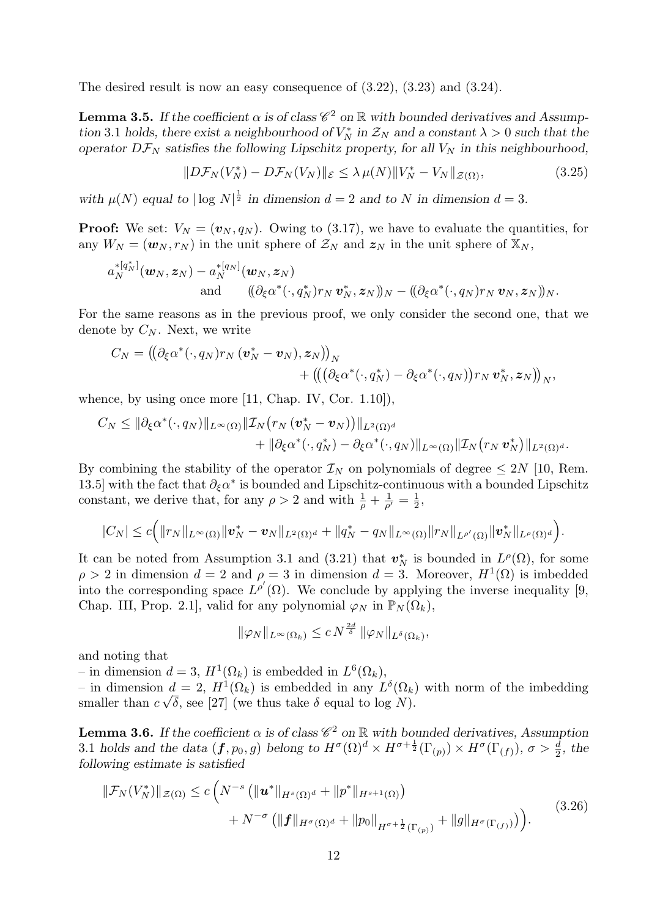The desired result is now an easy consequence of (3.22), (3.23) and (3.24).

**Lemma 3.5.** If the coefficient  $\alpha$  is of class  $\mathscr{C}^2$  on  $\mathbb{R}$  with bounded derivatives and Assumption 3.1 holds, there exist a neighbourhood of  $V_N^*$  in  $\mathcal{Z}_N$  and a constant  $\lambda > 0$  such that the operator  $D\mathcal{F}_N$  satisfies the following Lipschitz property, for all  $V_N$  in this neighbourhood,

$$
||D\mathcal{F}_N(V_N^*) - D\mathcal{F}_N(V_N)||_{\mathcal{E}} \le \lambda \,\mu(N) ||V_N^* - V_N||_{\mathcal{Z}(\Omega)},\tag{3.25}
$$

with  $\mu(N)$  equal to  $|\log N|^{\frac{1}{2}}$  in dimension  $d=2$  and to N in dimension  $d=3$ .

**Proof:** We set:  $V_N = (v_N, q_N)$ . Owing to (3.17), we have to evaluate the quantities, for any  $W_N = (\boldsymbol{w}_N, r_N)$  in the unit sphere of  $\mathcal{Z}_N$  and  $\boldsymbol{z}_N$  in the unit sphere of  $\mathbb{X}_N$ ,

$$
a_N^{*[q_N^*]}(\boldsymbol{w}_N,\boldsymbol{z}_N)-a_N^{*[q_N]}(\boldsymbol{w}_N,\boldsymbol{z}_N)\\ \text{and}\quad((\partial_\xi\alpha^*(\cdot,q_N^*)r_N\,\boldsymbol{v}_N^*,\boldsymbol{z}_N))_N-(\!(\partial_\xi\alpha^*(\cdot,q_N)r_N\,\boldsymbol{v}_N,\boldsymbol{z}_N))_N.
$$

For the same reasons as in the previous proof, we only consider the second one, that we denote by  $C_N$ . Next, we write

$$
C_N = ((\partial_{\xi}\alpha^*(\cdot, q_N)r_N (\boldsymbol{v}_N^* - \boldsymbol{v}_N), \boldsymbol{z}_N))_N + (((\partial_{\xi}\alpha^*(\cdot, q_N^*) - \partial_{\xi}\alpha^*(\cdot, q_N))r_N \boldsymbol{v}_N^*, \boldsymbol{z}_N))_N,
$$

whence, by using once more [11, Chap. IV, Cor. 1.10]).

$$
C_N \leq \|\partial_{\xi}\alpha^*(\cdot, q_N)\|_{L^{\infty}(\Omega)} \|\mathcal{I}_N(r_N(\boldsymbol{v}_N^*-\boldsymbol{v}_N))\|_{L^2(\Omega)^d} + \|\partial_{\xi}\alpha^*(\cdot, q_N^*) - \partial_{\xi}\alpha^*(\cdot, q_N)\|_{L^{\infty}(\Omega)} \|\mathcal{I}_N(r_N\boldsymbol{v}_N^*)\|_{L^2(\Omega)^d}.
$$

By combining the stability of the operator  $\mathcal{I}_N$  on polynomials of degree  $\leq 2N$  [10, Rem. 13.5] with the fact that  $\partial_{\xi} \alpha^*$  is bounded and Lipschitz-continuous with a bounded Lipschitz constant, we derive that, for any  $\rho > 2$  and with  $\frac{1}{\rho} + \frac{1}{\rho'} = \frac{1}{2}$  $\frac{1}{2}$ ,

$$
|C_N| \leq c \Big( \|r_N\|_{L^{\infty}(\Omega)} \|v_N^* - v_N\|_{L^2(\Omega)^d} + \|q_N^* - q_N\|_{L^{\infty}(\Omega)} \|r_N\|_{L^{\rho'}(\Omega)} \|v_N^*\|_{L^{\rho}(\Omega)^d} \Big).
$$

It can be noted from Assumption 3.1 and (3.21) that  $v_N^*$  is bounded in  $L^{\rho}(\Omega)$ , for some  $\rho > 2$  in dimension  $d = 2$  and  $\rho = 3$  in dimension  $d = 3$ . Moreover,  $H^1(\Omega)$  is imbedded into the corresponding space  $L^{p'}(\Omega)$ . We conclude by applying the inverse inequality [9, Chap. III, Prop. 2.1, valid for any polynomial  $\varphi_N$  in  $\mathbb{P}_N(\Omega_k)$ ,

$$
\|\varphi_N\|_{L^{\infty}(\Omega_k)} \leq c N^{\frac{2d}{\delta}} \|\varphi_N\|_{L^{\delta}(\Omega_k)},
$$

and noting that

- in dimension  $d = 3$ ,  $H^1(\Omega_k)$  is embedded in  $L^6(\Omega_k)$ ,

– in dimension  $d = 2$ ,  $H^1(\Omega_k)$  is embedded in any  $L^{\delta}(\Omega_k)$  with norm of the imbedding smaller than  $c \sqrt{\delta}$ , see [27] (we thus take  $\delta$  equal to log N).

**Lemma 3.6.** If the coefficient  $\alpha$  is of class  $\mathscr{C}^2$  on  $\mathbb R$  with bounded derivatives, Assumption 3.1 holds and the data  $(f, p_0, g)$  belong to  $H^{\sigma}(\Omega)^d \times H^{\sigma + \frac{1}{2}}(\Gamma_{(p)}) \times H^{\sigma}(\Gamma_{(f)}), \sigma > \frac{d}{2}$ , the following estimate is satisfied

$$
\|\mathcal{F}_N(V_N^*)\|_{\mathcal{Z}(\Omega)} \le c \left( N^{-s} \left( \|u^*\|_{H^s(\Omega)^d} + \|p^*\|_{H^{s+1}(\Omega)} \right) + N^{-\sigma} \left( \|f\|_{H^{\sigma}(\Omega)^d} + \|p_0\|_{H^{\sigma+\frac{1}{2}}(\Gamma_{(p)})} + \|g\|_{H^{\sigma}(\Gamma_{(f)})} \right) \right).
$$
\n(3.26)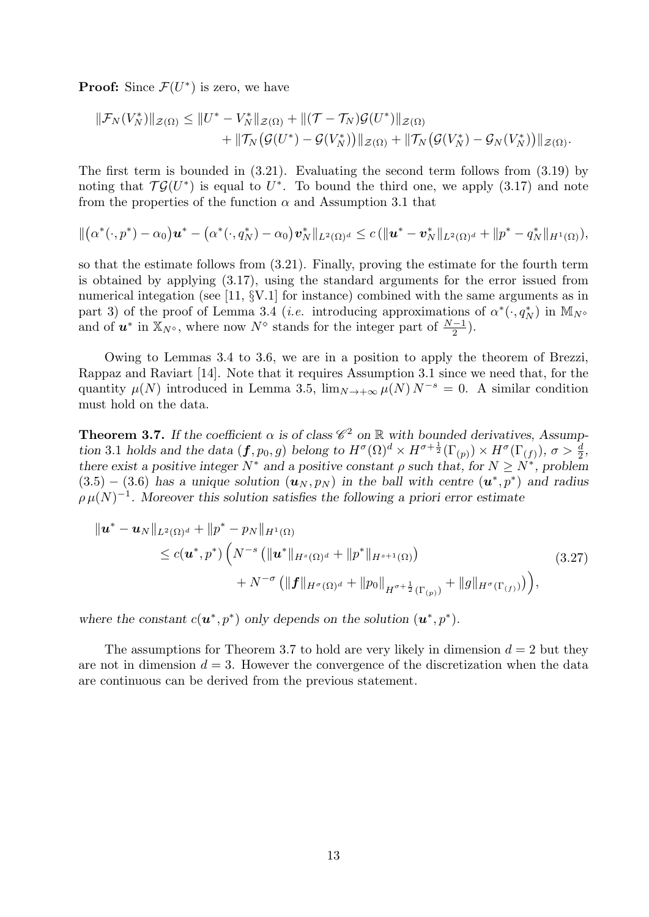**Proof:** Since  $\mathcal{F}(U^*)$  is zero, we have

$$
\|\mathcal{F}_N(V_N^*)\|_{\mathcal{Z}(\Omega)} \leq \|U^*-V_N^*\|_{\mathcal{Z}(\Omega)} + \|(\mathcal{T}-\mathcal{T}_N)\mathcal{G}(U^*)\|_{\mathcal{Z}(\Omega)} + \|\mathcal{T}_N(\mathcal{G}(U^*)-\mathcal{G}(V_N^*))\|_{\mathcal{Z}(\Omega)} + \|\mathcal{T}_N(\mathcal{G}(V_N^*)-\mathcal{G}_N(V_N^*))\|_{\mathcal{Z}(\Omega)}.
$$

The first term is bounded in (3.21). Evaluating the second term follows from (3.19) by noting that  $\mathcal{T}\mathcal{G}(U^*)$  is equal to  $U^*$ . To bound the third one, we apply (3.17) and note from the properties of the function  $\alpha$  and Assumption 3.1 that

$$
\|(\alpha^*(\cdot,p^*)-\alpha_0)\bm u^*-(\alpha^*(\cdot,q_N^*)-\alpha_0)\bm v_N^*\|_{L^2(\Omega)^d}\leq c\left(\|\bm u^*-\bm v_N^*\|_{L^2(\Omega)^d}+\|p^*-{q_N^*}\|_{H^1(\Omega)}\right),
$$

so that the estimate follows from (3.21). Finally, proving the estimate for the fourth term is obtained by applying (3.17), using the standard arguments for the error issued from numerical integation (see [11,  $\S$ V.1] for instance) combined with the same arguments as in part 3) of the proof of Lemma 3.4 (*i.e.* introducing approximations of  $\alpha^*(\cdot, q_N^*)$  in  $\mathbb{M}_{N^{\diamond}}$ and of  $u^*$  in  $\mathbb{X}_{N^{\diamond}}$ , where now  $N^{\diamond}$  stands for the integer part of  $\frac{N-1}{2}$ .

Owing to Lemmas 3.4 to 3.6, we are in a position to apply the theorem of Brezzi, Rappaz and Raviart [14]. Note that it requires Assumption 3.1 since we need that, for the quantity  $\mu(N)$  introduced in Lemma 3.5,  $\lim_{N\to+\infty}\mu(N) N^{-s} = 0$ . A similar condition must hold on the data.

**Theorem 3.7.** If the coefficient  $\alpha$  is of class  $\mathscr{C}^2$  on  $\mathbb R$  with bounded derivatives, Assumption 3.1 holds and the data  $(f, p_0, g)$  belong to  $H^{\sigma}(\Omega)^d \times H^{\sigma + \frac{1}{2}}(\Gamma_{(p)}) \times H^{\sigma}(\Gamma_{(f)}), \sigma > \frac{d}{2}$ , there exist a positive integer  $N^*$  and a positive constant  $\rho$  such that, for  $N \ge N^*$ , problem  $(3.5) - (3.6)$  has a unique solution  $(u_N, p_N)$  in the ball with centre  $(u^*, p^*)$  and radius  $\rho \mu(N)^{-1}$ . Moreover this solution satisfies the following a priori error estimate

$$
\| \boldsymbol{u}^* - \boldsymbol{u}_N \|_{L^2(\Omega)^d} + \| p^* - p_N \|_{H^1(\Omega)} \n\leq c(\boldsymbol{u}^*, p^*) \left( N^{-s} \left( \| \boldsymbol{u}^* \|_{H^s(\Omega)^d} + \| p^* \|_{H^{s+1}(\Omega)} \right) \n+ N^{-\sigma} \left( \| \boldsymbol{f} \|_{H^{\sigma}(\Omega)^d} + \| p_0 \|_{H^{\sigma+\frac{1}{2}}(\Gamma_{(p)})} + \| g \|_{H^{\sigma}(\Gamma_{(f)})} \right) \right),
$$
\n(3.27)

where the constant  $c(\mathbf{u}^*, p^*)$  only depends on the solution  $(\mathbf{u}^*, p^*)$ .

The assumptions for Theorem 3.7 to hold are very likely in dimension  $d = 2$  but they are not in dimension  $d = 3$ . However the convergence of the discretization when the data are continuous can be derived from the previous statement.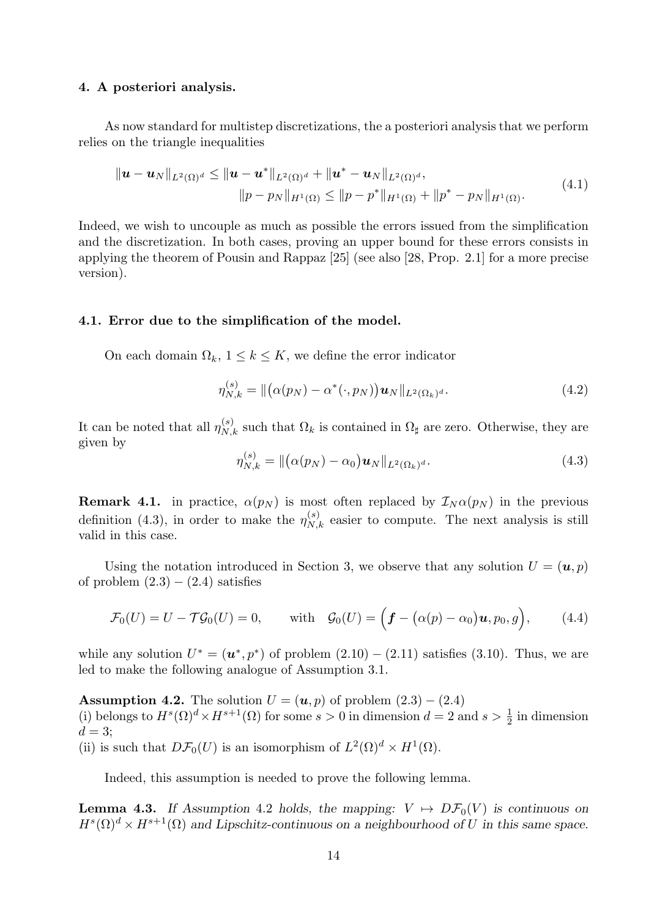## 4. A posteriori analysis.

As now standard for multistep discretizations, the a posteriori analysis that we perform relies on the triangle inequalities

$$
\|\mathbf{u}-\mathbf{u}_{N}\|_{L^{2}(\Omega)^{d}} \leq \|\mathbf{u}-\mathbf{u}^{*}\|_{L^{2}(\Omega)^{d}} + \|\mathbf{u}^{*}-\mathbf{u}_{N}\|_{L^{2}(\Omega)^{d}},
$$
  

$$
\|p-p_{N}\|_{H^{1}(\Omega)} \leq \|p-p^{*}\|_{H^{1}(\Omega)} + \|p^{*}-p_{N}\|_{H^{1}(\Omega)}.
$$
 (4.1)

Indeed, we wish to uncouple as much as possible the errors issued from the simplification and the discretization. In both cases, proving an upper bound for these errors consists in applying the theorem of Pousin and Rappaz [25] (see also [28, Prop. 2.1] for a more precise version).

#### 4.1. Error due to the simplification of the model.

On each domain  $\Omega_k$ ,  $1 \leq k \leq K$ , we define the error indicator

$$
\eta_{N,k}^{(s)} = \| (\alpha(p_N) - \alpha^*(\cdot, p_N)) \mathbf{u}_N \|_{L^2(\Omega_k)^d}.
$$
\n(4.2)

It can be noted that all  $\eta_{N,k}^{(s)}$  such that  $\Omega_k$  is contained in  $\Omega_{\sharp}$  are zero. Otherwise, they are given by

$$
\eta_{N,k}^{(s)} = \| (\alpha(p_N) - \alpha_0) \mathbf{u}_N \|_{L^2(\Omega_k)^d}.
$$
\n(4.3)

**Remark 4.1.** in practice,  $\alpha(p_N)$  is most often replaced by  $\mathcal{I}_N \alpha(p_N)$  in the previous definition (4.3), in order to make the  $\eta_{N,k}^{(s)}$  easier to compute. The next analysis is still valid in this case.

Using the notation introduced in Section 3, we observe that any solution  $U = (\mathbf{u}, p)$ of problem  $(2.3) - (2.4)$  satisfies

$$
\mathcal{F}_0(U) = U - \mathcal{T}\mathcal{G}_0(U) = 0, \quad \text{with} \quad \mathcal{G}_0(U) = \Big(\boldsymbol{f} - \big(\alpha(p) - \alpha_0\big)\boldsymbol{u}, p_0, g\Big), \quad (4.4)
$$

while any solution  $U^* = (\mathbf{u}^*, p^*)$  of problem  $(2.10) - (2.11)$  satisfies  $(3.10)$ . Thus, we are led to make the following analogue of Assumption 3.1.

Assumption 4.2. The solution  $U = (u, p)$  of problem  $(2.3) - (2.4)$ (i) belongs to  $H^s(\Omega)^d \times H^{s+1}(\Omega)$  for some  $s > 0$  in dimension  $d = 2$  and  $s > \frac{1}{2}$  in dimension  $d=3;$ 

(ii) is such that  $D\mathcal{F}_0(U)$  is an isomorphism of  $L^2(\Omega)^d \times H^1(\Omega)$ .

Indeed, this assumption is needed to prove the following lemma.

**Lemma 4.3.** If Assumption 4.2 holds, the mapping:  $V \rightarrow D\mathcal{F}_0(V)$  is continuous on  $H^{s}(\Omega)^{d} \times H^{s+1}(\Omega)$  and Lipschitz-continuous on a neighbourhood of U in this same space.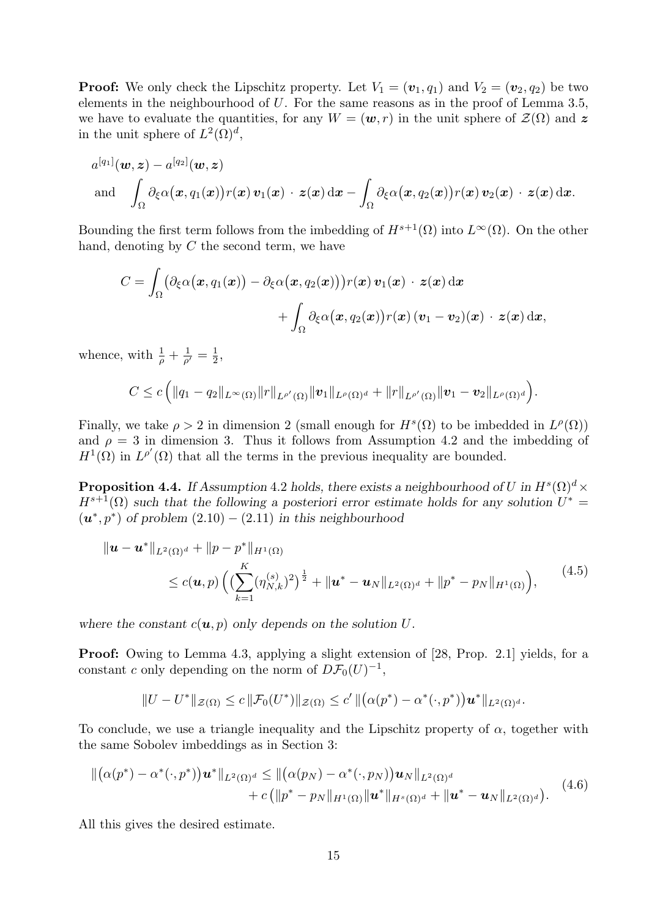**Proof:** We only check the Lipschitz property. Let  $V_1 = (\mathbf{v}_1, q_1)$  and  $V_2 = (\mathbf{v}_2, q_2)$  be two elements in the neighbourhood of  $U$ . For the same reasons as in the proof of Lemma 3.5, we have to evaluate the quantities, for any  $W = (\mathbf{w}, r)$  in the unit sphere of  $\mathcal{Z}(\Omega)$  and z in the unit sphere of  $L^2(\Omega)^d$ ,

$$
a^{[q_1]}(\boldsymbol{w},\boldsymbol{z})-a^{[q_2]}(\boldsymbol{w},\boldsymbol{z})\\ \text{and}\quad\int_{\Omega}\partial_{\xi}\alpha(\boldsymbol{x},q_1(\boldsymbol{x}))r(\boldsymbol{x})\,\boldsymbol{v}_1(\boldsymbol{x})\,\cdot\,\boldsymbol{z}(\boldsymbol{x})\,\mathrm{d}\boldsymbol{x}-\int_{\Omega}\partial_{\xi}\alpha(\boldsymbol{x},q_2(\boldsymbol{x}))r(\boldsymbol{x})\,\boldsymbol{v}_2(\boldsymbol{x})\,\cdot\,\boldsymbol{z}(\boldsymbol{x})\,\mathrm{d}\boldsymbol{x}.
$$

Bounding the first term follows from the imbedding of  $H^{s+1}(\Omega)$  into  $L^{\infty}(\Omega)$ . On the other hand, denoting by  $C$  the second term, we have

$$
C = \int_{\Omega} \bigl( \partial_{\xi} \alpha \bigl( \boldsymbol{x}, q_1(\boldsymbol{x}) \bigr) - \partial_{\xi} \alpha \bigl( \boldsymbol{x}, q_2(\boldsymbol{x}) \bigr) \bigr) r(\boldsymbol{x}) \, \boldsymbol{v}_1(\boldsymbol{x}) \, \cdot \, \boldsymbol{z}(\boldsymbol{x}) \, \mathrm{d}\boldsymbol{x} \\ + \int_{\Omega} \partial_{\xi} \alpha \bigl( \boldsymbol{x}, q_2(\boldsymbol{x}) \bigr) r(\boldsymbol{x}) \, (\boldsymbol{v}_1 - \boldsymbol{v}_2)(\boldsymbol{x}) \, \cdot \, \boldsymbol{z}(\boldsymbol{x}) \, \mathrm{d}\boldsymbol{x},
$$

whence, with  $\frac{1}{\rho} + \frac{1}{\rho'} = \frac{1}{2}$  $\frac{1}{2}$ ,

$$
C\leq c\left(\|q_1-q_2\|_{L^{\infty}(\Omega)}\|r\|_{L^{\rho'}(\Omega)}\|v_1\|_{L^{\rho}(\Omega)^d}+\|r\|_{L^{\rho'}(\Omega)}\|v_1-v_2\|_{L^{\rho}(\Omega)^d}\right).
$$

Finally, we take  $\rho > 2$  in dimension 2 (small enough for  $H^s(\Omega)$  to be imbedded in  $L^{\rho}(\Omega)$ ) and  $\rho = 3$  in dimension 3. Thus it follows from Assumption 4.2 and the imbedding of  $H^1(\Omega)$  in  $L^{p'}(\Omega)$  that all the terms in the previous inequality are bounded.

**Proposition 4.4.** If Assumption 4.2 holds, there exists a neighbourhood of U in  $H^s(\Omega)^d$  ×  $H^{s+1}(\Omega)$  such that the following a posteriori error estimate holds for any solution  $U^* =$  $(u^*, p^*)$  of problem  $(2.10) - (2.11)$  in this neighbourhood

$$
\|u - u^*\|_{L^2(\Omega)^d} + \|p - p^*\|_{H^1(\Omega)}\n\leq c(u, p) \left( \left( \sum_{k=1}^K (\eta_{N,k}^{(s)})^2 \right)^{\frac{1}{2}} + \|u^* - u_N\|_{L^2(\Omega)^d} + \|p^* - p_N\|_{H^1(\Omega)} \right),
$$
\n(4.5)

where the constant  $c(\mathbf{u}, p)$  only depends on the solution U.

Proof: Owing to Lemma 4.3, applying a slight extension of [28, Prop. 2.1] yields, for a constant c only depending on the norm of  $D\mathcal{F}_0(U)^{-1}$ ,

$$
||U - U^*||_{\mathcal{Z}(\Omega)} \leq c ||\mathcal{F}_0(U^*)||_{\mathcal{Z}(\Omega)} \leq c' ||(\alpha(p^*) - \alpha^*(\cdot, p^*))\mathbf{u}^*||_{L^2(\Omega)^d}.
$$

To conclude, we use a triangle inequality and the Lipschitz property of  $\alpha$ , together with the same Sobolev imbeddings as in Section 3:

$$
\|(\alpha(p^*) - \alpha^*(\cdot, p^*))\mathbf{u}^*\|_{L^2(\Omega)^d} \leq \|(\alpha(p_N) - \alpha^*(\cdot, p_N))\mathbf{u}_N\|_{L^2(\Omega)^d} + c \left(\|p^* - p_N\|_{H^1(\Omega)}\|\mathbf{u}^*\|_{H^s(\Omega)^d} + \|\mathbf{u}^* - \mathbf{u}_N\|_{L^2(\Omega)^d}\right).
$$
(4.6)

All this gives the desired estimate.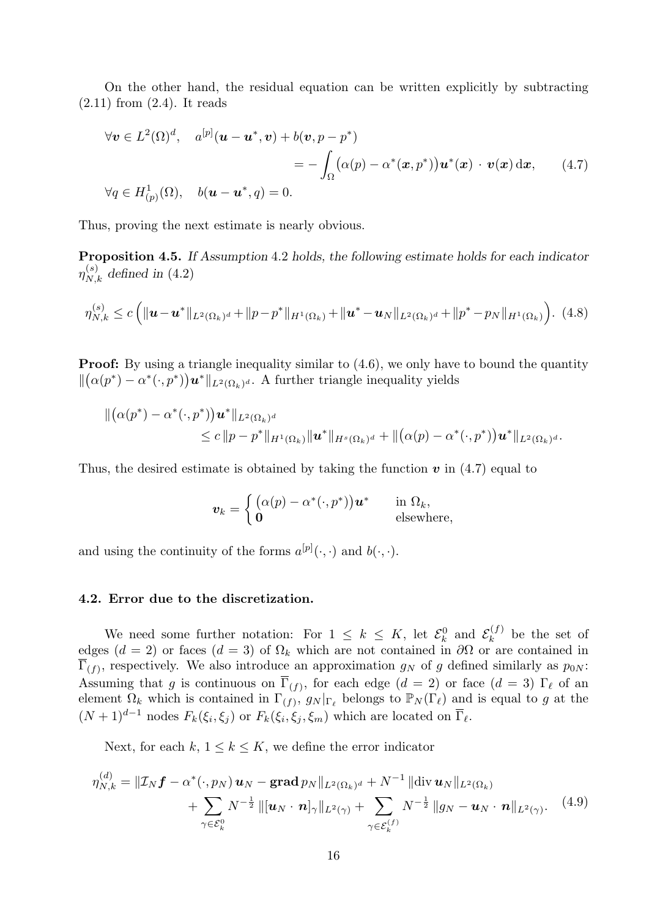On the other hand, the residual equation can be written explicitly by subtracting  $(2.11)$  from  $(2.4)$ . It reads

$$
\forall \mathbf{v} \in L^{2}(\Omega)^{d}, \quad a^{[p]}(\mathbf{u} - \mathbf{u}^{*}, \mathbf{v}) + b(\mathbf{v}, p - p^{*})
$$
  
= 
$$
- \int_{\Omega} (\alpha(p) - \alpha^{*}(\mathbf{x}, p^{*})) \mathbf{u}^{*}(\mathbf{x}) \cdot \mathbf{v}(\mathbf{x}) d\mathbf{x}, \qquad (4.7)
$$
  

$$
\forall q \in H_{(p)}^{1}(\Omega), \quad b(\mathbf{u} - \mathbf{u}^{*}, q) = 0.
$$

Thus, proving the next estimate is nearly obvious.

Proposition 4.5. If Assumption 4.2 holds, the following estimate holds for each indicator  $\eta_{N,k}^{(s)}$  defined in (4.2)

$$
\eta_{N,k}^{(s)} \le c \left( \|\mathbf{u}-\mathbf{u}^*\|_{L^2(\Omega_k)^d} + \|p-p^*\|_{H^1(\Omega_k)} + \|\mathbf{u}^*-\mathbf{u}_N\|_{L^2(\Omega_k)^d} + \|p^*-p_N\|_{H^1(\Omega_k)} \right). \tag{4.8}
$$

**Proof:** By using a triangle inequality similar to  $(4.6)$ , we only have to bound the quantity  $\|(\alpha(p^*) - \alpha^*(\cdot, p^*))\mathbf{u}^*\|_{L^2(\Omega_k)^d}$ . A further triangle inequality yields

$$
\begin{aligned} \|\big(\alpha(p^*)-\alpha^*(\cdot,p^*)\big)\bm{u}^*\|_{L^2(\Omega_k)^d} \\ &\leq c\,\|p-p^*\|_{H^1(\Omega_k)}\|\bm{u}^*\|_{H^s(\Omega_k)^d} + \|(\alpha(p)-\alpha^*(\cdot,p^*)\big)\bm{u}^*\|_{L^2(\Omega_k)^d}.\end{aligned}
$$

Thus, the desired estimate is obtained by taking the function  $v$  in (4.7) equal to

$$
\boldsymbol{v}_k = \begin{cases} \big(\alpha(p) - \alpha^*(\cdot, p^*)\big)\boldsymbol{u}^* & \text{in } \Omega_k, \\ \boldsymbol{0} & \text{elsewhere,} \end{cases}
$$

and using the continuity of the forms  $a^{[p]}(\cdot, \cdot)$  and  $b(\cdot, \cdot)$ .

# 4.2. Error due to the discretization.

We need some further notation: For  $1 \leq k \leq K$ , let  $\mathcal{E}_k^0$  and  $\mathcal{E}_k^{(f)}$  $\kappa^{(J)}$  be the set of edges ( $d = 2$ ) or faces ( $d = 3$ ) of  $\Omega_k$  which are not contained in  $\partial\Omega$  or are contained in  $\Gamma_{(f)}$ , respectively. We also introduce an approximation  $g_N$  of g defined similarly as  $p_{0N}$ : Assuming that g is continuous on  $\Gamma_{(f)}$ , for each edge  $(d = 2)$  or face  $(d = 3) \Gamma_{\ell}$  of an element  $\Omega_k$  which is contained in  $\Gamma(f)$ ,  $g_N|_{\Gamma_\ell}$  belongs to  $\mathbb{P}_N(\Gamma_\ell)$  and is equal to g at the  $(N+1)^{d-1}$  nodes  $F_k(\xi_i, \xi_j)$  or  $F_k(\xi_i, \xi_j, \xi_m)$  which are located on  $\overline{\Gamma}_{\ell}$ .

Next, for each  $k, 1 \leq k \leq K$ , we define the error indicator

$$
\eta_{N,k}^{(d)} = \| \mathcal{I}_N \mathbf{f} - \alpha^* (\cdot, p_N) \mathbf{u}_N - \mathbf{grad} \, p_N \|_{L^2(\Omega_k)^d} + N^{-1} \| \text{div} \, \mathbf{u}_N \|_{L^2(\Omega_k)} + \sum_{\gamma \in \mathcal{E}_k^0} N^{-\frac{1}{2}} \| [\mathbf{u}_N \cdot \mathbf{n}]_\gamma \|_{L^2(\gamma)} + \sum_{\gamma \in \mathcal{E}_k^{(f)}} N^{-\frac{1}{2}} \| g_N - \mathbf{u}_N \cdot \mathbf{n} \|_{L^2(\gamma)}.
$$
 (4.9)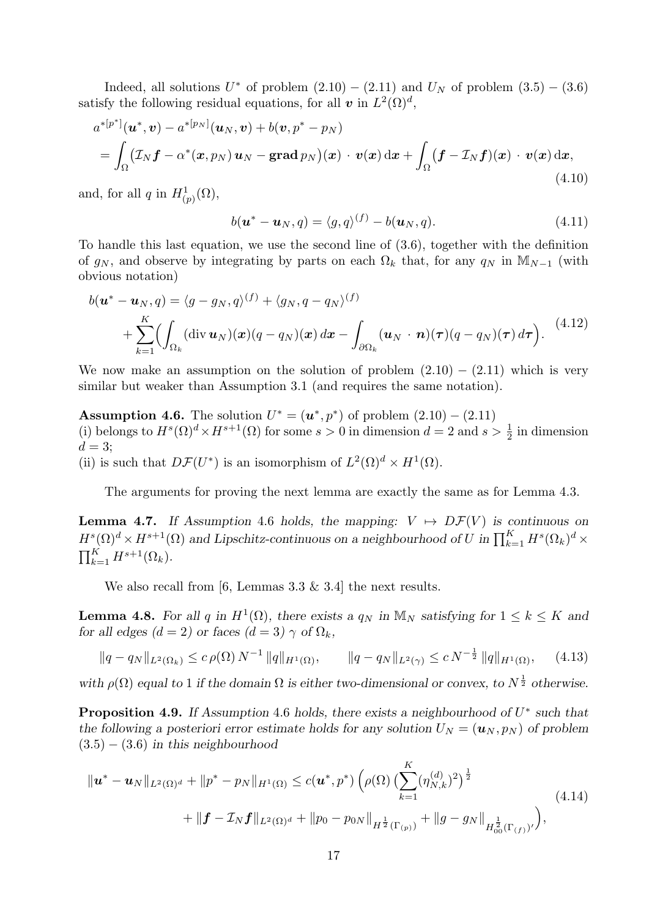Indeed, all solutions  $U^*$  of problem  $(2.10) - (2.11)$  and  $U_N$  of problem  $(3.5) - (3.6)$ satisfy the following residual equations, for all  $v$  in  $L^2(\Omega)^d$ ,

$$
a^{*[p^*]}(\boldsymbol{u}^*,\boldsymbol{v}) - a^{*[p_N]}(\boldsymbol{u}_N,\boldsymbol{v}) + b(\boldsymbol{v},p^* - p_N)
$$
  
= 
$$
\int_{\Omega} (\mathcal{I}_N \boldsymbol{f} - \alpha^*(\boldsymbol{x},p_N) \boldsymbol{u}_N - \text{grad }p_N)(\boldsymbol{x}) \cdot \boldsymbol{v}(\boldsymbol{x}) d\boldsymbol{x} + \int_{\Omega} (\boldsymbol{f} - \mathcal{I}_N \boldsymbol{f})(\boldsymbol{x}) \cdot \boldsymbol{v}(\boldsymbol{x}) d\boldsymbol{x},
$$
(4.10)

and, for all q in  $H^1_{(p)}(\Omega)$ ,

$$
b(\boldsymbol{u}^* - \boldsymbol{u}_N, q) = \langle g, q \rangle^{(f)} - b(\boldsymbol{u}_N, q). \tag{4.11}
$$

To handle this last equation, we use the second line of (3.6), together with the definition of  $g_N$ , and observe by integrating by parts on each  $\Omega_k$  that, for any  $q_N$  in M<sub>N-1</sub> (with obvious notation)

$$
b(\mathbf{u}^* - \mathbf{u}_N, q) = \langle g - g_N, q \rangle^{(f)} + \langle g_N, q - g_N \rangle^{(f)}
$$
  
+ 
$$
\sum_{k=1}^K \Biggl( \int_{\Omega_k} (\text{div } \mathbf{u}_N)(\mathbf{x}) (q - q_N)(\mathbf{x}) d\mathbf{x} - \int_{\partial \Omega_k} (\mathbf{u}_N \cdot \mathbf{n}) (\tau) (q - q_N)(\tau) d\tau \Biggr).
$$
 (4.12)

We now make an assumption on the solution of problem  $(2.10) - (2.11)$  which is very similar but weaker than Assumption 3.1 (and requires the same notation).

**Assumption 4.6.** The solution  $U^* = (u^*, p^*)$  of problem  $(2.10) - (2.11)$ (i) belongs to  $H^s(\Omega)^d \times H^{s+1}(\Omega)$  for some  $s > 0$  in dimension  $d = 2$  and  $s > \frac{1}{2}$  in dimension  $d=3;$ (ii) is such that  $D\mathcal{F}(U^*)$  is an isomorphism of  $L^2(\Omega)^d \times H^1(\Omega)$ .

The arguments for proving the next lemma are exactly the same as for Lemma 4.3.

**Lemma 4.7.** If Assumption 4.6 holds, the mapping:  $V \rightarrow D\mathcal{F}(V)$  is continuous on  $H^{s}(\Omega)^{d} \times H^{s+1}(\Omega)$  and Lipschitz-continuous on a neighbourhood of U in  $\prod_{k=1}^{K} H^{s}(\Omega_k)^{d} \times$  $\prod_{k=1}^K H^{s+1}(\Omega_k)$ .

We also recall from [6, Lemmas 3.3 & 3.4] the next results.

**Lemma 4.8.** For all q in  $H^1(\Omega)$ , there exists a  $q_N$  in  $\mathbb{M}_N$  satisfying for  $1 \leq k \leq K$  and for all edges  $(d = 2)$  or faces  $(d = 3) \gamma$  of  $\Omega_k$ ,

$$
||q - q_N||_{L^2(\Omega_k)} \le c \,\rho(\Omega) \, N^{-1} \, ||q||_{H^1(\Omega)}, \qquad ||q - q_N||_{L^2(\gamma)} \le c \, N^{-\frac{1}{2}} \, ||q||_{H^1(\Omega)}, \qquad (4.13)
$$

with  $\rho(\Omega)$  equal to 1 if the domain  $\Omega$  is either two-dimensional or convex, to  $N^{\frac{1}{2}}$  otherwise.

**Proposition 4.9.** If Assumption 4.6 holds, there exists a neighbourhood of  $U^*$  such that the following a posteriori error estimate holds for any solution  $U_N = (\mathbf{u}_N, p_N)$  of problem  $(3.5) - (3.6)$  in this neighbourhood

$$
\| \boldsymbol{u}^* - \boldsymbol{u}_N \|_{L^2(\Omega)^d} + \| p^* - p_N \|_{H^1(\Omega)} \le c(\boldsymbol{u}^*, p^*) \left( \rho(\Omega) \left( \sum_{k=1}^K (\eta_{N,k}^{(d)})^2 \right)^{\frac{1}{2}} + \| \boldsymbol{f} - \mathcal{I}_N \boldsymbol{f} \|_{L^2(\Omega)^d} + \| p_0 - p_{0N} \|_{H^{\frac{1}{2}}(\Gamma_{(p)})} + \| g - g_N \|_{H^{\frac{1}{2}}_{00}(\Gamma_{(f)})'} \right), \tag{4.14}
$$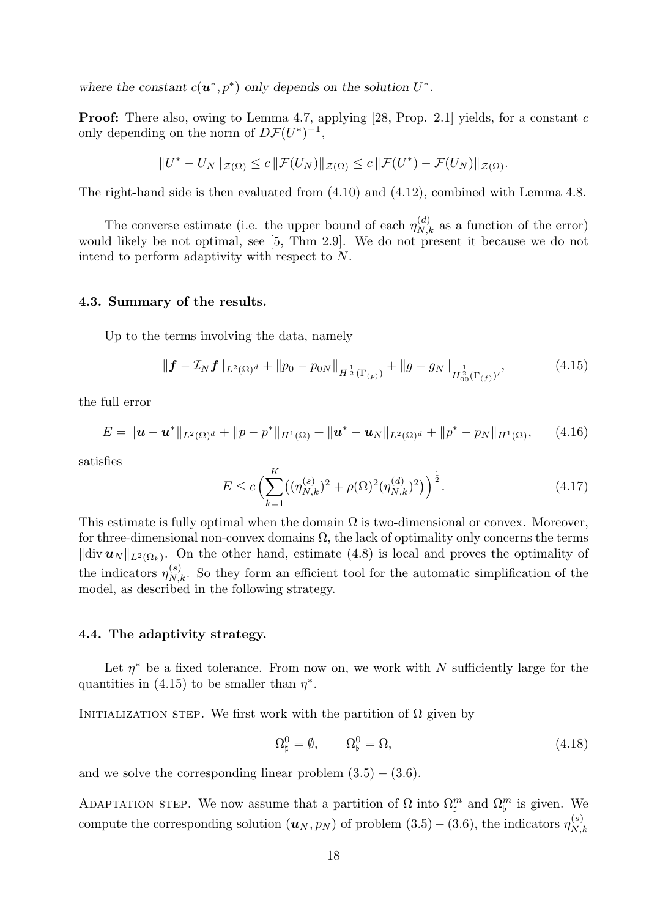where the constant  $c(\mathbf{u}^*, p^*)$  only depends on the solution  $U^*$ .

**Proof:** There also, owing to Lemma 4.7, applying [28, Prop. 2.1] yields, for a constant c only depending on the norm of  $D\mathcal{F}(U^*)^{-1}$ ,

$$
||U^* - U_N||_{\mathcal{Z}(\Omega)} \le c ||\mathcal{F}(U_N)||_{\mathcal{Z}(\Omega)} \le c ||\mathcal{F}(U^*) - \mathcal{F}(U_N)||_{\mathcal{Z}(\Omega)}.
$$

The right-hand side is then evaluated from (4.10) and (4.12), combined with Lemma 4.8.

The converse estimate (i.e. the upper bound of each  $\eta_{N,k}^{(d)}$  as a function of the error) would likely be not optimal, see [5, Thm 2.9]. We do not present it because we do not intend to perform adaptivity with respect to N.

# 4.3. Summary of the results.

Up to the terms involving the data, namely

$$
\|\boldsymbol{f} - \mathcal{I}_N \boldsymbol{f}\|_{L^2(\Omega)^d} + \|p_0 - p_{0N}\|_{H^{\frac{1}{2}}(\Gamma_{(p)})} + \|g - g_N\|_{H^{\frac{1}{2}}_{00}(\Gamma_{(f)})'},\tag{4.15}
$$

the full error

$$
E = \|\mathbf{u} - \mathbf{u}^*\|_{L^2(\Omega)^d} + \|p - p^*\|_{H^1(\Omega)} + \|\mathbf{u}^* - \mathbf{u}_N\|_{L^2(\Omega)^d} + \|p^* - p_N\|_{H^1(\Omega)}, \qquad (4.16)
$$

satisfies

$$
E \le c \left( \sum_{k=1}^{K} \left( (\eta_{N,k}^{(s)})^2 + \rho(\Omega)^2 (\eta_{N,k}^{(d)})^2 \right) \right)^{\frac{1}{2}}.
$$
\n(4.17)

This estimate is fully optimal when the domain  $\Omega$  is two-dimensional or convex. Moreover, for three-dimensional non-convex domains  $\Omega$ , the lack of optimality only concerns the terms  $\|\text{div } \boldsymbol{u}_N\|_{L^2(\Omega_k)}$ . On the other hand, estimate (4.8) is local and proves the optimality of the indicators  $\eta_{N,k}^{(s)}$ . So they form an efficient tool for the automatic simplification of the model, as described in the following strategy.

#### 4.4. The adaptivity strategy.

Let  $\eta^*$  be a fixed tolerance. From now on, we work with N sufficiently large for the quantities in (4.15) to be smaller than  $\eta^*$ .

INITIALIZATION STEP. We first work with the partition of  $\Omega$  given by

$$
\Omega_{\sharp}^{0} = \emptyset, \qquad \Omega_{\flat}^{0} = \Omega, \tag{4.18}
$$

and we solve the corresponding linear problem  $(3.5) - (3.6)$ .

ADAPTATION STEP. We now assume that a partition of  $\Omega$  into  $\Omega_{\sharp}^m$  and  $\Omega_{\flat}^m$  is given. We compute the corresponding solution  $(u_N, p_N)$  of problem  $(3.5) - (3.6)$ , the indicators  $\eta_N^{(s)}$  $N,k$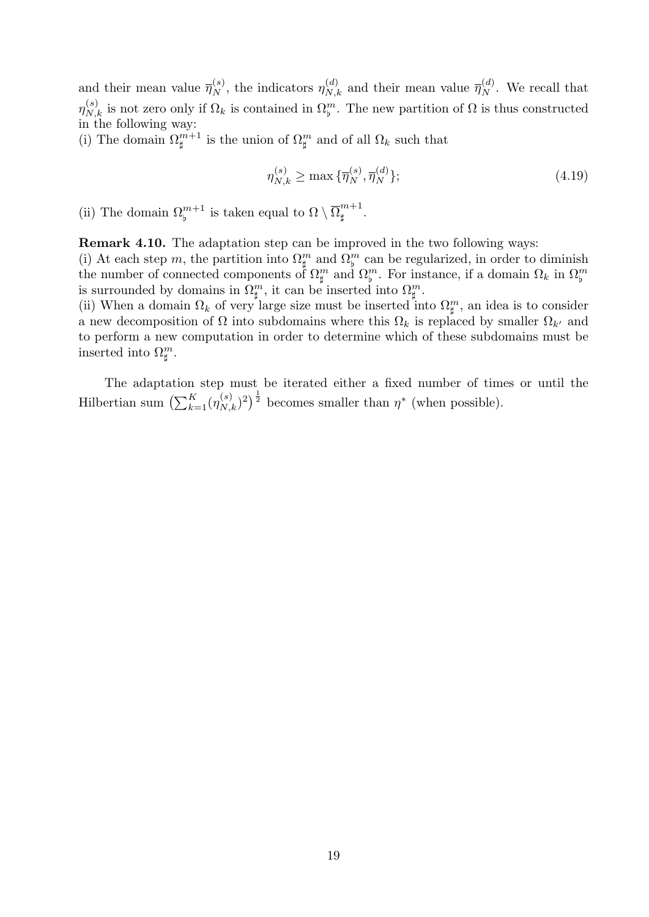and their mean value  $\overline{\eta}_{N}^{(s)}$ , the indicators  $\eta_{N,k}^{(d)}$  and their mean value  $\overline{\eta}_{N}^{(d)}$ . We recall that  $\eta_{N,k}^{(s)}$  is not zero only if  $\Omega_k$  is contained in  $\Omega_{\nu}^m$ . The new partition of  $\Omega$  is thus constructed in the following way:

(i) The domain  $\Omega^{m+1}_{\sharp}$  is the union of  $\Omega^{m}_{\sharp}$  and of all  $\Omega_{k}$  such that

$$
\eta_{N,k}^{(s)} \ge \max \{ \overline{\eta}_N^{(s)}, \overline{\eta}_N^{(d)} \};\tag{4.19}
$$

(ii) The domain  $\Omega_{\flat}^{m+1}$  is taken equal to  $\Omega \setminus \overline{\Omega}_{\sharp}^{m+1}$  $\begin{matrix} 1 & 1 \\ 1 & 1 \end{matrix}$ 

Remark 4.10. The adaptation step can be improved in the two following ways: (i) At each step m, the partition into  $\Omega_{\sharp}^{m}$  and  $\Omega_{\flat}^{m}$  can be regularized, in order to diminish the number of connected components of  $\Omega_{\sharp}^{m}$  and  $\Omega_{\sharp}^{m}$ . For instance, if a domain  $\Omega_{k}$  in  $\Omega_{\sharp}^{m}$  is surrounded by domains in  $\Omega_{\sharp}^{m}$ , it can be inserted into  $\Omega_{\sharp}^{m}$ .

(ii) When a domain  $\Omega_k$  of very large size must be inserted into  $\Omega_{\sharp}^m$ , an idea is to consider a new decomposition of  $\Omega$  into subdomains where this  $\Omega_k$  is replaced by smaller  $\Omega_{k'}$  and to perform a new computation in order to determine which of these subdomains must be inserted into  $\Omega_{\sharp}^m$ .

The adaptation step must be iterated either a fixed number of times or until the Hilbertian sum  $\left(\sum_{k=1}^K (\eta_{N,k}^{(s)})^2\right)^{\frac{1}{2}}$  becomes smaller than  $\eta^*$  (when possible).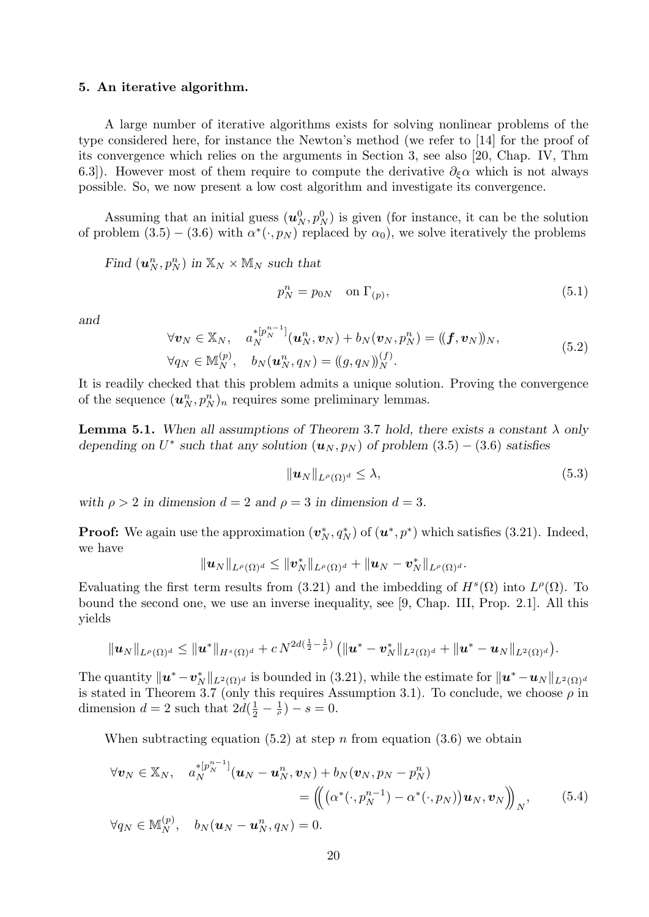#### 5. An iterative algorithm.

A large number of iterative algorithms exists for solving nonlinear problems of the type considered here, for instance the Newton's method (we refer to [14] for the proof of its convergence which relies on the arguments in Section 3, see also [20, Chap. IV, Thm 6.3]). However most of them require to compute the derivative  $\partial_{\xi}\alpha$  which is not always possible. So, we now present a low cost algorithm and investigate its convergence.

Assuming that an initial guess  $(\boldsymbol{u}_N^0, p_N^0)$  is given (for instance, it can be the solution of problem  $(3.5) - (3.6)$  with  $\alpha^*(\cdot, p_N)$  replaced by  $\alpha_0$ , we solve iteratively the problems

Find  $(\boldsymbol{u}_N^n, p_N^n)$  in  $\mathbb{X}_N \times \mathbb{M}_N$  such that

$$
p_N^n = p_{0N} \quad \text{on } \Gamma_{(p)},\tag{5.1}
$$

and

$$
\forall \mathbf{v}_N \in \mathbb{X}_N, \quad a_N^{*[p_N^{n-1}]}(\mathbf{u}_N^n, \mathbf{v}_N) + b_N(\mathbf{v}_N, p_N^n) = ((\mathbf{f}, \mathbf{v}_N))_N, \forall q_N \in \mathbb{M}_N^{(p)}, \quad b_N(\mathbf{u}_N^n, q_N) = ((g, q_N))_N^{(f)}.
$$
\n(5.2)

It is readily checked that this problem admits a unique solution. Proving the convergence of the sequence  $(\boldsymbol{u}_N^n, p_N^n)_n$  requires some preliminary lemmas.

**Lemma 5.1.** When all assumptions of Theorem 3.7 hold, there exists a constant  $\lambda$  only depending on  $U^*$  such that any solution  $(u_N, p_N)$  of problem  $(3.5) - (3.6)$  satisfies

$$
\|\boldsymbol{u}_N\|_{L^{\rho}(\Omega)^d} \leq \lambda,\tag{5.3}
$$

with  $\rho > 2$  in dimension  $d = 2$  and  $\rho = 3$  in dimension  $d = 3$ .

**Proof:** We again use the approximation  $(v_N^*, q_N^*)$  of  $(u^*, p^*)$  which satisfies (3.21). Indeed, we have

$$
\|\boldsymbol{u}_N\|_{L^\rho(\Omega)^d}\leq \|\boldsymbol{v}_N^*\|_{L^\rho(\Omega)^d}+\|\boldsymbol{u}_N-\boldsymbol{v}_N^*\|_{L^\rho(\Omega)^d}.
$$

Evaluating the first term results from (3.21) and the imbedding of  $H^s(\Omega)$  into  $L^{\rho}(\Omega)$ . To bound the second one, we use an inverse inequality, see [9, Chap. III, Prop. 2.1]. All this yields

$$
\|\bm{u}_N\|_{L^{\rho}(\Omega)^d}\leq \|\bm{u}^*\|_{H^s(\Omega)^d}+c\,N^{2d(\frac{1}{2}-\frac{1}{\rho})}\,\big(\|\bm{u}^*-\bm{v}^*_N\|_{L^2(\Omega)^d}+\|\bm{u}^*-\bm{u}_N\|_{L^2(\Omega)^d}\big).
$$

The quantity  $\|\mathbf{u}^* - \mathbf{v}_N^*\|_{L^2(\Omega)^d}$  is bounded in (3.21), while the estimate for  $\|\mathbf{u}^* - \mathbf{u}_N\|_{L^2(\Omega)^d}$ is stated in Theorem 3.7 (only this requires Assumption 3.1). To conclude, we choose  $\rho$  in dimension  $d=2$  such that  $2d(\frac{1}{2})$  $(\frac{1}{2} - \frac{1}{\rho}) - s = 0.$ 

When subtracting equation (5.2) at step n from equation (3.6) we obtain

$$
\forall \boldsymbol{v}_N \in \mathbb{X}_N, \quad a_N^{*[p_N^{n-1}]}(\boldsymbol{u}_N - \boldsymbol{u}_N^n, \boldsymbol{v}_N) + b_N(\boldsymbol{v}_N, p_N - p_N^n) \n= \left( \left( \left( \alpha^*(\cdot, p_N^{n-1}) - \alpha^*(\cdot, p_N) \right) \boldsymbol{u}_N, \boldsymbol{v}_N \right) \right)_N, \quad (5.4)
$$
\n
$$
\forall q_N \in \mathbb{M}_N^{(p)}, \quad b_N(\boldsymbol{u}_N - \boldsymbol{u}_N^n, q_N) = 0.
$$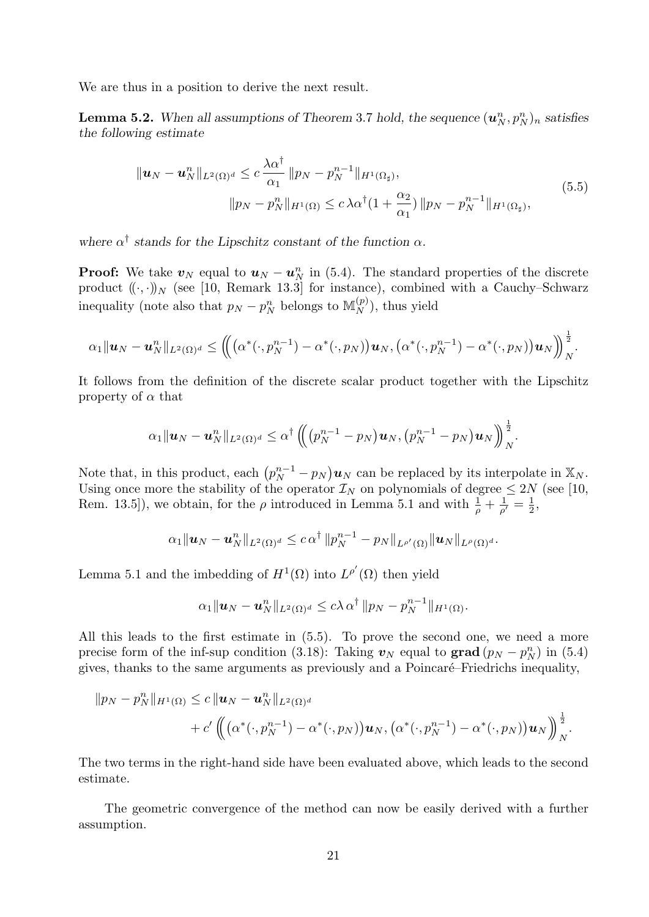We are thus in a position to derive the next result.

**Lemma 5.2.** When all assumptions of Theorem 3.7 hold, the sequence  $(\boldsymbol{u}_N^n, p_N^n)_n$  satisfies the following estimate

$$
\|u_N - u_N^n\|_{L^2(\Omega)^d} \le c \frac{\lambda \alpha^{\dagger}}{\alpha_1} \|p_N - p_N^{n-1}\|_{H^1(\Omega_\sharp)},
$$
  

$$
\|p_N - p_N^n\|_{H^1(\Omega)} \le c \lambda \alpha^{\dagger} (1 + \frac{\alpha_2}{\alpha_1}) \|p_N - p_N^{n-1}\|_{H^1(\Omega_\sharp)},
$$
\n(5.5)

where  $\alpha^{\dagger}$  stands for the Lipschitz constant of the function  $\alpha$ .

**Proof:** We take  $v_N$  equal to  $u_N - u_N^n$  in (5.4). The standard properties of the discrete product  $((\cdot,\cdot))_N$  (see [10, Remark 13.3] for instance), combined with a Cauchy–Schwarz inequality (note also that  $p_N - p_N^n$  belongs to  $\mathbb{M}_N^{(p)}$ ), thus yield

$$
\alpha_1\|\boldsymbol{u}_N-\boldsymbol{u}_N^n\|_{L^2(\Omega)^d}\leq \left(\hspace{-0.2cm}\left(\hspace{-0.2cm}\left(\alpha^*(\cdot,p_N^{n-1})-\alpha^*(\cdot,p_N)\right)\boldsymbol{u}_N,\left(\alpha^*(\cdot,p_N^{n-1})-\alpha^*(\cdot,p_N)\right)\boldsymbol{u}_N\right)\hspace{-0.2cm}\right)_N^{\frac{1}{2}}.
$$

It follows from the definition of the discrete scalar product together with the Lipschitz property of  $\alpha$  that

$$
\alpha_1\|\boldsymbol{u}_N-\boldsymbol{u}_N^n\|_{L^2(\Omega)^d}\leq \alpha^\dagger\left(\hspace{-1mm}\left(\hspace{-1mm}\big(p_N^{n-1}-p_N\big)\boldsymbol{u}_N,\big(p_N^{n-1}-p_N\big)\boldsymbol{u}_N\right)\hspace{-1mm}\right)_N^{\frac{1}{2}}.
$$

Note that, in this product, each  $\left(p_N^{n-1} - p_N\right)u_N$  can be replaced by its interpolate in  $\mathbb{X}_N$ . Using once more the stability of the operator  $\mathcal{I}_N$  on polynomials of degree  $\leq 2N$  (see [10, Rem. 13.5]), we obtain, for the  $\rho$  introduced in Lemma 5.1 and with  $\frac{1}{\rho} + \frac{1}{\rho'} = \frac{1}{2}$  $\frac{1}{2}$ 

$$
\alpha_1\|\boldsymbol{u}_N-\boldsymbol{u}_N^n\|_{L^2(\Omega)^d}\leq c\,\alpha^{\dagger}\,\|p_N^{n-1}-p_N\|_{L^{\rho'}(\Omega)}\|\boldsymbol{u}_N\|_{L^{\rho}(\Omega)^d}.
$$

Lemma 5.1 and the imbedding of  $H^1(\Omega)$  into  $L^{p'}(\Omega)$  then yield

$$
\alpha_1 \|\boldsymbol{u}_N - \boldsymbol{u}_N^n\|_{L^2(\Omega)^d} \leq c\lambda \alpha^{\dagger} \|p_N - p_N^{n-1}\|_{H^1(\Omega)}.
$$

All this leads to the first estimate in (5.5). To prove the second one, we need a more precise form of the inf-sup condition (3.18): Taking  $v_N$  equal to grad  $(p_N - p_N^n)$  in (5.4) gives, thanks to the same arguments as previously and a Poincaré–Friedrichs inequality,

$$
||p_N - p_N^n||_{H^1(\Omega)} \le c ||\boldsymbol{u}_N - \boldsymbol{u}_N^n||_{L^2(\Omega)^d} + c' \left( \left( \left( \alpha^*(\cdot, p_N^{n-1}) - \alpha^*(\cdot, p_N) \right) \boldsymbol{u}_N, \left( \alpha^*(\cdot, p_N^{n-1}) - \alpha^*(\cdot, p_N) \right) \boldsymbol{u}_N \right) \right)_N^{\frac{1}{2}}.
$$

The two terms in the right-hand side have been evaluated above, which leads to the second estimate.

The geometric convergence of the method can now be easily derived with a further assumption.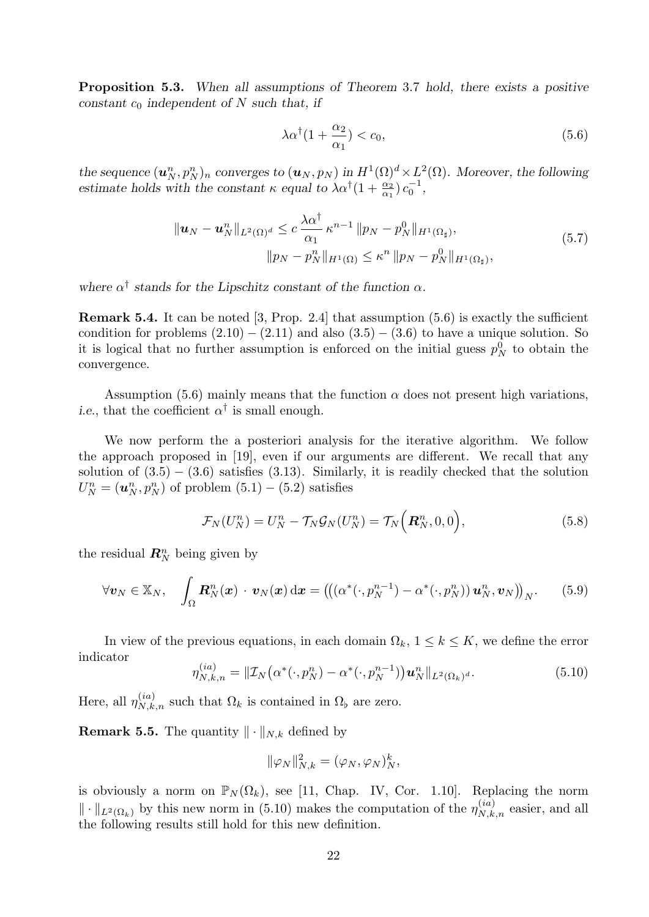Proposition 5.3. When all assumptions of Theorem 3.7 hold, there exists a positive constant  $c_0$  independent of N such that, if

$$
\lambda \alpha^{\dagger} (1 + \frac{\alpha_2}{\alpha_1}) < c_0,\tag{5.6}
$$

the sequence  $(\bm{u}_N^n, p_N^n)_n$  converges to  $(\bm{u}_N, p_N)$  in  $H^1(\Omega)^d \times L^2(\Omega)$ . Moreover, the following estimate holds with the constant  $\kappa$  equal to  $\lambda \alpha^{\dagger} (1 + \frac{\alpha_2}{\alpha_1}) c_0^{-1}$  $\frac{1}{0}$ ,

$$
\|u_N - u_N^n\|_{L^2(\Omega)^d} \le c \frac{\lambda \alpha^{\dagger}}{\alpha_1} \kappa^{n-1} \|p_N - p_N^0\|_{H^1(\Omega_\sharp)},
$$
  

$$
\|p_N - p_N^n\|_{H^1(\Omega)} \le \kappa^n \|p_N - p_N^0\|_{H^1(\Omega_\sharp)},
$$
\n(5.7)

where  $\alpha^{\dagger}$  stands for the Lipschitz constant of the function  $\alpha$ .

Remark 5.4. It can be noted [3, Prop. 2.4] that assumption (5.6) is exactly the sufficient condition for problems  $(2.10) - (2.11)$  and also  $(3.5) - (3.6)$  to have a unique solution. So it is logical that no further assumption is enforced on the initial guess  $p_N^0$  to obtain the convergence.

Assumption (5.6) mainly means that the function  $\alpha$  does not present high variations, *i.e.*, that the coefficient  $\alpha^{\dagger}$  is small enough.

We now perform the a posteriori analysis for the iterative algorithm. We follow the approach proposed in [19], even if our arguments are different. We recall that any solution of  $(3.5) - (3.6)$  satisfies  $(3.13)$ . Similarly, it is readily checked that the solution  $U_N^n = (\boldsymbol{u}_N^n, p_N^n)$  of problem  $(5.1) - (5.2)$  satisfies

$$
\mathcal{F}_N(U_N^n) = U_N^n - \mathcal{T}_N \mathcal{G}_N(U_N^n) = \mathcal{T}_N\Big(\mathbf{R}_N^n, 0, 0\Big),\tag{5.8}
$$

the residual  $\mathbf{R}_{N}^{n}$  being given by

$$
\forall \boldsymbol{v}_N \in \mathbb{X}_N, \quad \int_{\Omega} \boldsymbol{R}_N^n(\boldsymbol{x}) \cdot \boldsymbol{v}_N(\boldsymbol{x}) \, \mathrm{d}\boldsymbol{x} = \left( \left( \left( \alpha^*(\cdot, p_N^{n-1}) - \alpha^*(\cdot, p_N^n) \right) \boldsymbol{u}_N^n, \boldsymbol{v}_N \right) \right)_N. \tag{5.9}
$$

In view of the previous equations, in each domain  $\Omega_k$ ,  $1 \leq k \leq K$ , we define the error indicator

$$
\eta_{N,k,n}^{(ia)} = \| \mathcal{I}_N \big( \alpha^*(\cdot, p_N^n) - \alpha^*(\cdot, p_N^{n-1}) \big) \mathbf{u}_N^n \|_{L^2(\Omega_k)^d} . \tag{5.10}
$$

Here, all  $\eta_{N,k,n}^{(ia)}$  such that  $\Omega_k$  is contained in  $\Omega_{\rm b}$  are zero.

**Remark 5.5.** The quantity  $\|\cdot\|_{N,k}$  defined by

$$
\|\varphi_N\|_{N,k}^2 = (\varphi_N, \varphi_N)_N^k,
$$

is obviously a norm on  $\mathbb{P}_N(\Omega_k)$ , see [11, Chap. IV, Cor. 1.10]. Replacing the norm  $\|\cdot\|_{L^2(\Omega_k)}$  by this new norm in (5.10) makes the computation of the  $\eta_{N,k,n}^{(ia)}$  easier, and all the following results still hold for this new definition.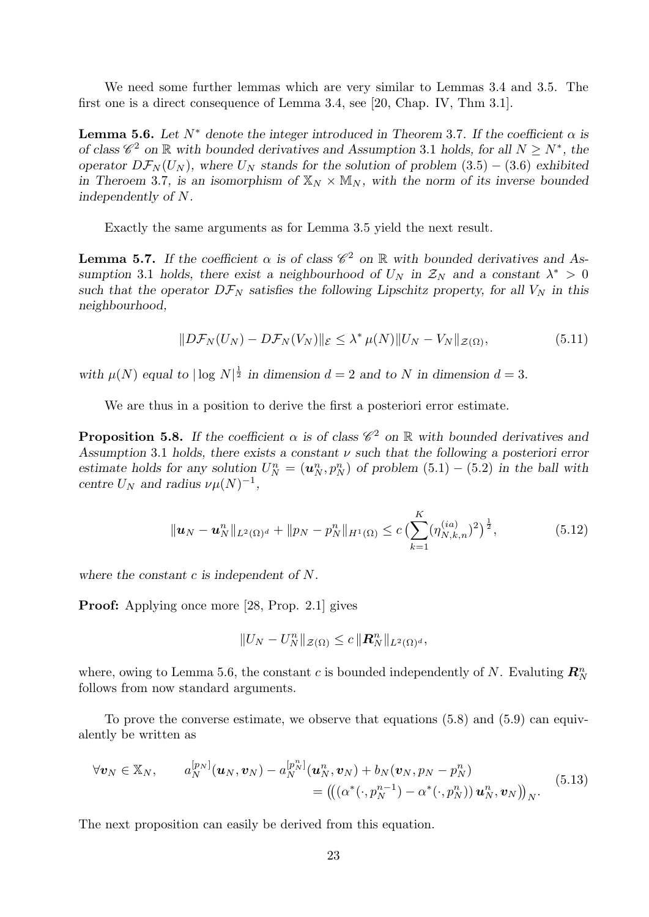We need some further lemmas which are very similar to Lemmas 3.4 and 3.5. The first one is a direct consequence of Lemma 3.4, see [20, Chap. IV, Thm 3.1].

**Lemma 5.6.** Let  $N^*$  denote the integer introduced in Theorem 3.7. If the coefficient  $\alpha$  is of class  $\mathscr{C}^2$  on  $\mathbb R$  with bounded derivatives and Assumption 3.1 holds, for all  $N \geq N^*$ , the operator  $D\mathcal{F}_N(U_N)$ , where  $U_N$  stands for the solution of problem (3.5) – (3.6) exhibited in Theroem 3.7, is an isomorphism of  $\mathbb{X}_N \times \mathbb{M}_N$ , with the norm of its inverse bounded independently of N.

Exactly the same arguments as for Lemma 3.5 yield the next result.

**Lemma 5.7.** If the coefficient  $\alpha$  is of class  $\mathscr{C}^2$  on  $\mathbb{R}$  with bounded derivatives and Assumption 3.1 holds, there exist a neighbourhood of  $U_N$  in  $\mathcal{Z}_N$  and a constant  $\lambda^* > 0$ such that the operator  $D\mathcal{F}_N$  satisfies the following Lipschitz property, for all  $V_N$  in this neighbourhood,

$$
||D\mathcal{F}_N(U_N) - D\mathcal{F}_N(V_N)||_{\mathcal{E}} \leq \lambda^* \mu(N) ||U_N - V_N||_{\mathcal{Z}(\Omega)},
$$
\n(5.11)

with  $\mu(N)$  equal to  $|\log N|^{\frac{1}{2}}$  in dimension  $d=2$  and to N in dimension  $d=3$ .

We are thus in a position to derive the first a posteriori error estimate.

**Proposition 5.8.** If the coefficient  $\alpha$  is of class  $\mathscr{C}^2$  on  $\mathbb{R}$  with bounded derivatives and Assumption 3.1 holds, there exists a constant  $\nu$  such that the following a posteriori error estimate holds for any solution  $U_N^n = (\mathbf{u}_N^n, p_N^n)$  of problem  $(5.1) - (5.2)$  in the ball with centre  $U_N$  and radius  $\nu \mu(N)^{-1}$ ,

$$
\|\boldsymbol{u}_N - \boldsymbol{u}_N^n\|_{L^2(\Omega)^d} + \|p_N - p_N^n\|_{H^1(\Omega)} \le c \left(\sum_{k=1}^K (\eta_{N,k,n}^{(ia)})^2\right)^{\frac{1}{2}},\tag{5.12}
$$

where the constant  $c$  is independent of  $N$ .

Proof: Applying once more [28, Prop. 2.1] gives

$$
||U_N - U_N^n||_{\mathcal{Z}(\Omega)} \leq c ||\mathbf{R}_N^n||_{L^2(\Omega)^d},
$$

where, owing to Lemma 5.6, the constant c is bounded independently of N. Evaluting  $\mathbb{R}^n$ follows from now standard arguments.

To prove the converse estimate, we observe that equations (5.8) and (5.9) can equivalently be written as

$$
\forall \mathbf{v}_N \in \mathbb{X}_N, \qquad a_N^{[p_N]}(\mathbf{u}_N, \mathbf{v}_N) - a_N^{[p_N^n]}(\mathbf{u}_N^n, \mathbf{v}_N) + b_N(\mathbf{v}_N, p_N - p_N^n) = ((\alpha^*(\cdot, p_N^{n-1}) - \alpha^*(\cdot, p_N^n)) \mathbf{u}_N^n, \mathbf{v}_N))_N.
$$
(5.13)

The next proposition can easily be derived from this equation.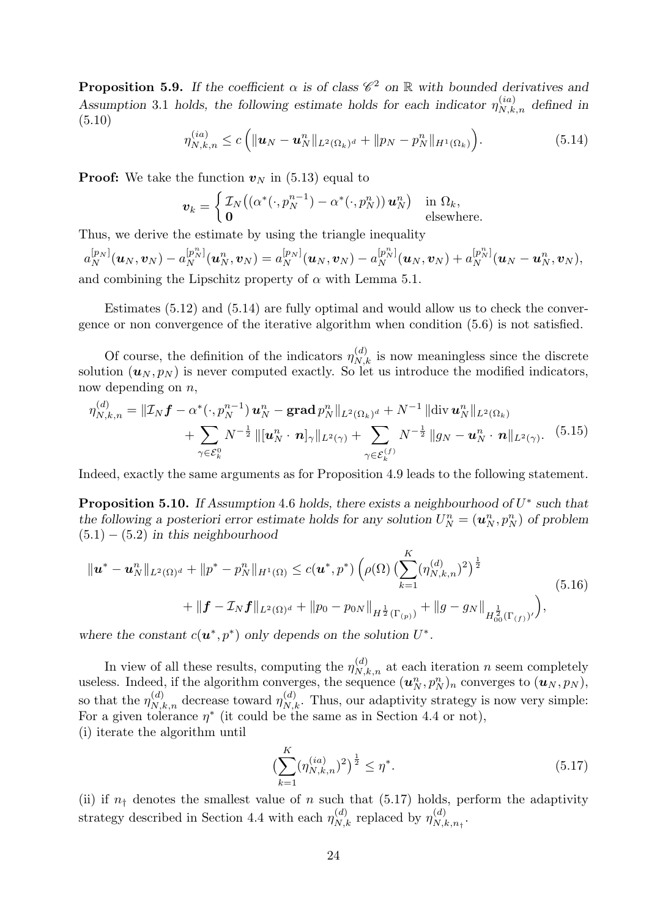**Proposition 5.9.** If the coefficient  $\alpha$  is of class  $\mathscr{C}^2$  on  $\mathbb{R}$  with bounded derivatives and Assumption 3.1 holds, the following estimate holds for each indicator  $\eta_{N,k,n}^{(ia)}$  defined in (5.10)

$$
\eta_{N,k,n}^{(ia)} \le c \left( \| \boldsymbol{u}_N - \boldsymbol{u}_N^n \|_{L^2(\Omega_k)^d} + \| p_N - p_N^n \|_{H^1(\Omega_k)} \right). \tag{5.14}
$$

**Proof:** We take the function  $v_N$  in (5.13) equal to

$$
\boldsymbol{v}_k = \begin{cases} \mathcal{I}_N\big((\alpha^*(\cdot, p_N^{n-1}) - \alpha^*(\cdot, p_N^n)) \, \boldsymbol{u}_N^n\big) & \text{in } \Omega_k, \\ \mathbf{0} & \text{elsewhere.} \end{cases}
$$

Thus, we derive the estimate by using the triangle inequality

$$
a_N^{[p_N]}(\boldsymbol{u}_N,\boldsymbol{v}_N)-a_N^{[p_N^n]}(\boldsymbol{u}_N^n,\boldsymbol{v}_N)=a_N^{[p_N]}(\boldsymbol{u}_N,\boldsymbol{v}_N)-a_N^{[p_N^n]}(\boldsymbol{u}_N,\boldsymbol{v}_N)+a_N^{[p_N^n]}(\boldsymbol{u}_N-\boldsymbol{u}_N^n,\boldsymbol{v}_N),
$$
 and combining the Lipschitz property of  $\alpha$  with Lemma 5.1.

Estimates (5.12) and (5.14) are fully optimal and would allow us to check the convergence or non convergence of the iterative algorithm when condition (5.6) is not satisfied.

Of course, the definition of the indicators  $\eta_{N,k}^{(d)}$  is now meaningless since the discrete solution  $(\boldsymbol{u}_N, p_N)$  is never computed exactly. So let us introduce the modified indicators, now depending on  $n$ ,

$$
\eta_{N,k,n}^{(d)} = \|\mathcal{I}_N \mathbf{f} - \alpha^*(\cdot, p_N^{n-1}) \mathbf{u}_N^n - \mathbf{grad}\, p_N^n\|_{L^2(\Omega_k)^d} + N^{-1} \|\text{div}\, \mathbf{u}_N^n\|_{L^2(\Omega_k)} \n+ \sum_{\gamma \in \mathcal{E}_k^0} N^{-\frac{1}{2}} \|\mathbf{u}_N^n \cdot \mathbf{n}\|_{\gamma}\|_{L^2(\gamma)} + \sum_{\gamma \in \mathcal{E}_k^{(f)}} N^{-\frac{1}{2}} \|g_N - \mathbf{u}_N^n \cdot \mathbf{n}\|_{L^2(\gamma)}. \tag{5.15}
$$

Indeed, exactly the same arguments as for Proposition 4.9 leads to the following statement.

**Proposition 5.10.** If Assumption 4.6 holds, there exists a neighbourhood of  $U^*$  such that the following a posteriori error estimate holds for any solution  $U_N^n = (\boldsymbol{u}_N^n, p_N^n)$  of problem  $(5.1) - (5.2)$  in this neighbourhood

$$
\| \boldsymbol{u}^* - \boldsymbol{u}_N^n \|_{L^2(\Omega)^d} + \| p^* - p_N^n \|_{H^1(\Omega)} \le c(\boldsymbol{u}^*, p^*) \left( \rho(\Omega) \left( \sum_{k=1}^K (\eta_{N,k,n}^{(d)})^2 \right)^{\frac{1}{2}} + \| \boldsymbol{f} - \mathcal{I}_N \boldsymbol{f} \|_{L^2(\Omega)^d} + \| p_0 - p_0 \|\|_{H^{\frac{1}{2}}(\Gamma_{(p)})} + \| g - g_N \|_{H^{\frac{1}{2}}_{00}(\Gamma_{(f)})'} \right), \tag{5.16}
$$

where the constant  $c(\mathbf{u}^*, p^*)$  only depends on the solution  $U^*$ .

In view of all these results, computing the  $\eta_{N,k,n}^{(d)}$  at each iteration n seem completely useless. Indeed, if the algorithm converges, the sequence  $(u_N^n, p_N^n)_n$  converges to  $(u_N, p_N)$ , so that the  $\eta_{N,k,n}^{(d)}$  decrease toward  $\eta_{N,k}^{(d)}$ . Thus, our adaptivity strategy is now very simple: For a given tolerance  $\eta^*$  (it could be the same as in Section 4.4 or not), (i) iterate the algorithm until

$$
\left(\sum_{k=1}^{K} (\eta_{N,k,n}^{(ia)})^2\right)^{\frac{1}{2}} \le \eta^*.
$$
\n(5.17)

(ii) if  $n_{\uparrow}$  denotes the smallest value of n such that (5.17) holds, perform the adaptivity strategy described in Section 4.4 with each  $\eta_{N,k}^{(d)}$  replaced by  $\eta_{N,i}^{(d)}$  $\chi^{(a)}_{N,k,n_\dagger}.$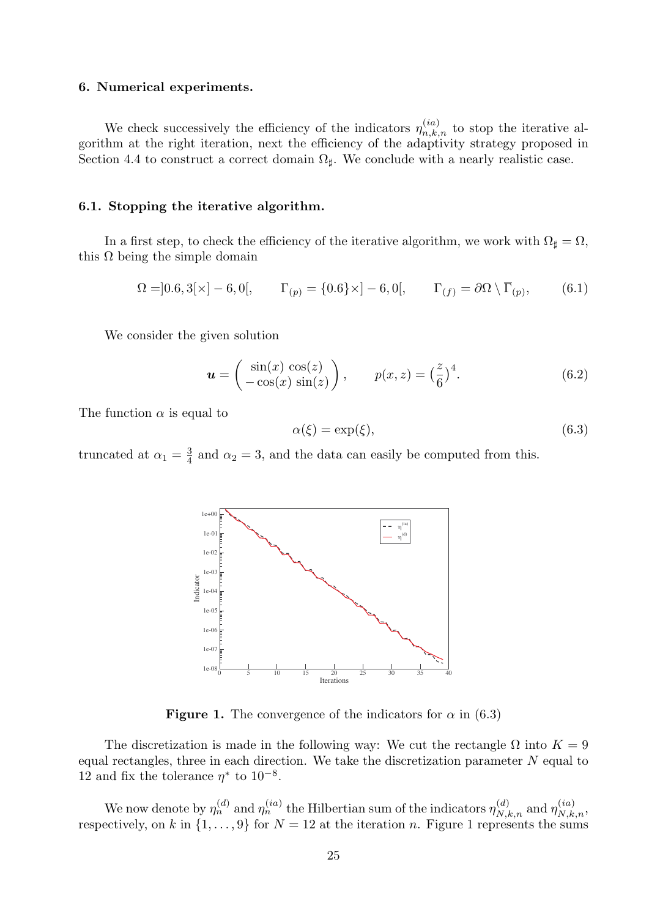# 6. Numerical experiments.

We check successively the efficiency of the indicators  $\eta_{n,k,n}^{(ia)}$  to stop the iterative algorithm at the right iteration, next the efficiency of the adaptivity strategy proposed in Section 4.4 to construct a correct domain  $\Omega_{\sharp}$ . We conclude with a nearly realistic case.

# 6.1. Stopping the iterative algorithm.

In a first step, to check the efficiency of the iterative algorithm, we work with  $\Omega_{\sharp} = \Omega$ , this  $\Omega$  being the simple domain

$$
\Omega = ]0.6, 3[\times] - 6, 0[, \qquad \Gamma_{(p)} = \{0.6\} \times ] - 6, 0[, \qquad \Gamma_{(f)} = \partial \Omega \setminus \overline{\Gamma}_{(p)}, \qquad (6.1)
$$

We consider the given solution

$$
\mathbf{u} = \begin{pmatrix} \sin(x)\cos(z) \\ -\cos(x)\sin(z) \end{pmatrix}, \qquad p(x, z) = \left(\frac{z}{6}\right)^4. \tag{6.2}
$$

The function  $\alpha$  is equal to

$$
\alpha(\xi) = \exp(\xi),\tag{6.3}
$$

truncated at  $\alpha_1 = \frac{3}{4}$  $\frac{3}{4}$  and  $\alpha_2 = 3$ , and the data can easily be computed from this.



**Figure 1.** The convergence of the indicators for  $\alpha$  in (6.3)

The discretization is made in the following way: We cut the rectangle  $\Omega$  into  $K = 9$ equal rectangles, three in each direction. We take the discretization parameter  $N$  equal to 12 and fix the tolerance  $\eta^*$  to  $10^{-8}$ .

We now denote by  $\eta_n^{(d)}$  and  $\eta_n^{(ia)}$  the Hilbertian sum of the indicators  $\eta_{N,k,n}^{(d)}$  and  $\eta_{N,k,n}^{(ia)}$ , respectively, on k in  $\{1,\ldots,9\}$  for  $N=12$  at the iteration n. Figure 1 represents the sums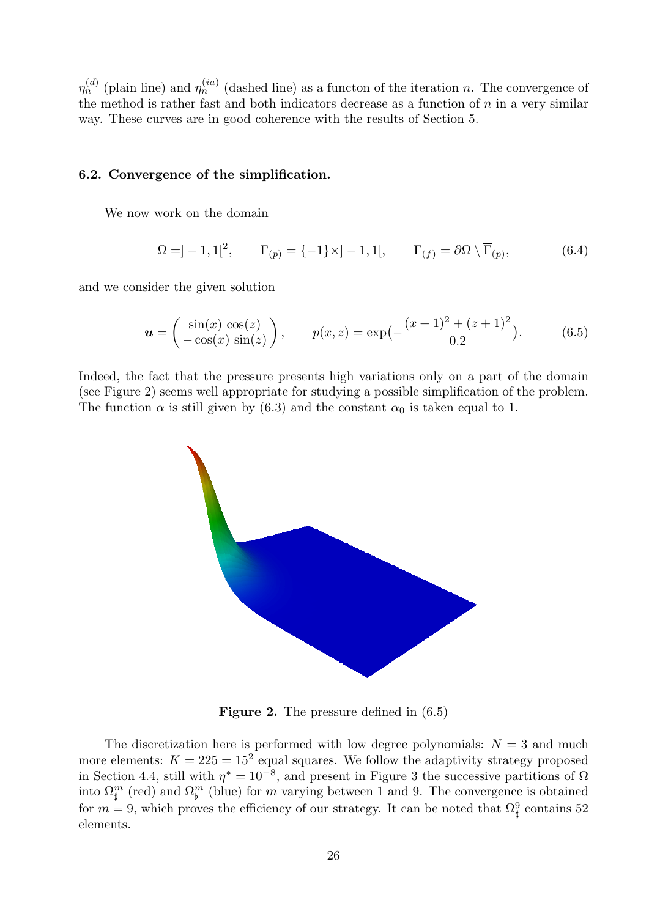$\eta_n^{(d)}$  (plain line) and  $\eta_n^{(ia)}$  (dashed line) as a functon of the iteration n. The convergence of the method is rather fast and both indicators decrease as a function of  $n$  in a very similar way. These curves are in good coherence with the results of Section 5.

# 6.2. Convergence of the simplification.

We now work on the domain

$$
\Omega = ]-1,1[^2, \qquad \Gamma_{(p)} = \{-1\} \times ]-1,1[, \qquad \Gamma_{(f)} = \partial \Omega \setminus \overline{\Gamma}_{(p)}, \tag{6.4}
$$

and we consider the given solution

$$
\mathbf{u} = \begin{pmatrix} \sin(x)\cos(z) \\ -\cos(x)\sin(z) \end{pmatrix}, \qquad p(x, z) = \exp\left(-\frac{(x+1)^2 + (z+1)^2}{0.2}\right). \tag{6.5}
$$

Indeed, the fact that the pressure presents high variations only on a part of the domain (see Figure 2) seems well appropriate for studying a possible simplification of the problem. The function  $\alpha$  is still given by (6.3) and the constant  $\alpha_0$  is taken equal to 1.



Figure 2. The pressure defined in (6.5)

The discretization here is performed with low degree polynomials:  $N = 3$  and much more elements:  $K = 225 = 15^2$  equal squares. We follow the adaptivity strategy proposed in Section 4.4, still with  $\eta^* = 10^{-8}$ , and present in Figure 3 the successive partitions of  $\Omega$ into  $\Omega_{\sharp}^m$  (red) and  $\Omega_{\flat}^m$  (blue) for m varying between 1 and 9. The convergence is obtained for  $m = 9$ , which proves the efficiency of our strategy. It can be noted that  $\Omega_{\sharp}^9$  contains 52 elements.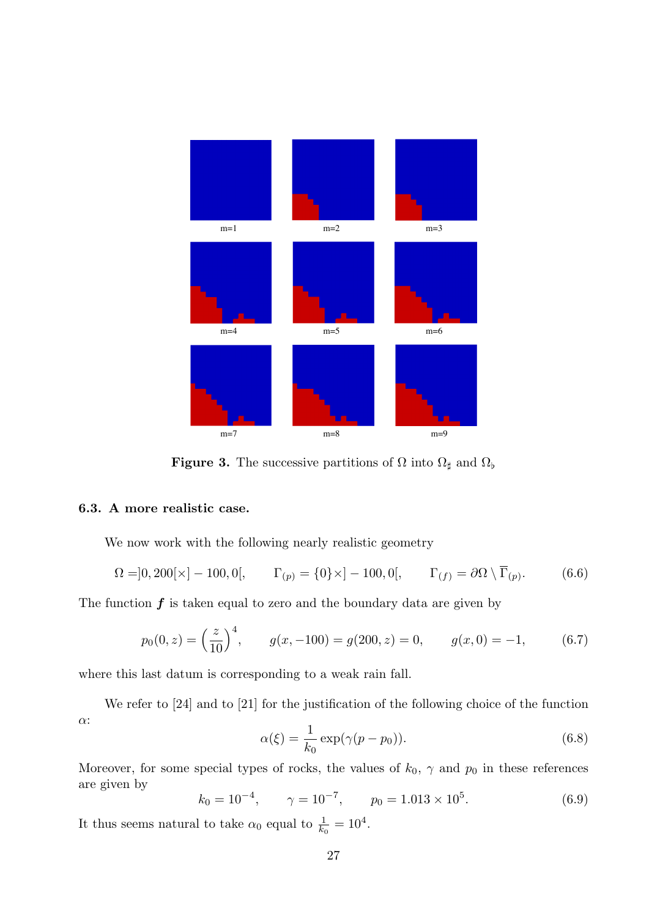

**Figure 3.** The successive partitions of  $\Omega$  into  $\Omega_{\sharp}$  and  $\Omega_{\flat}$ 

# 6.3. A more realistic case.

We now work with the following nearly realistic geometry

$$
\Omega = ]0,200[\times] - 100,0[, \qquad \Gamma_{(p)} = \{0\} \times ]-100,0[,\qquad \Gamma_{(f)} = \partial \Omega \setminus \overline{\Gamma}_{(p)}.
$$
 (6.6)

The function  $f$  is taken equal to zero and the boundary data are given by

$$
p_0(0, z) = \left(\frac{z}{10}\right)^4, \qquad g(x, -100) = g(200, z) = 0, \qquad g(x, 0) = -1,\tag{6.7}
$$

where this last datum is corresponding to a weak rain fall.

We refer to [24] and to [21] for the justification of the following choice of the function α:

$$
\alpha(\xi) = \frac{1}{k_0} \exp(\gamma(p - p_0)).\tag{6.8}
$$

Moreover, for some special types of rocks, the values of  $k_0$ ,  $\gamma$  and  $p_0$  in these references are given by

$$
k_0 = 10^{-4}
$$
,  $\gamma = 10^{-7}$ ,  $p_0 = 1.013 \times 10^5$ . (6.9)

It thus seems natural to take  $\alpha_0$  equal to  $\frac{1}{k_0} = 10^4$ .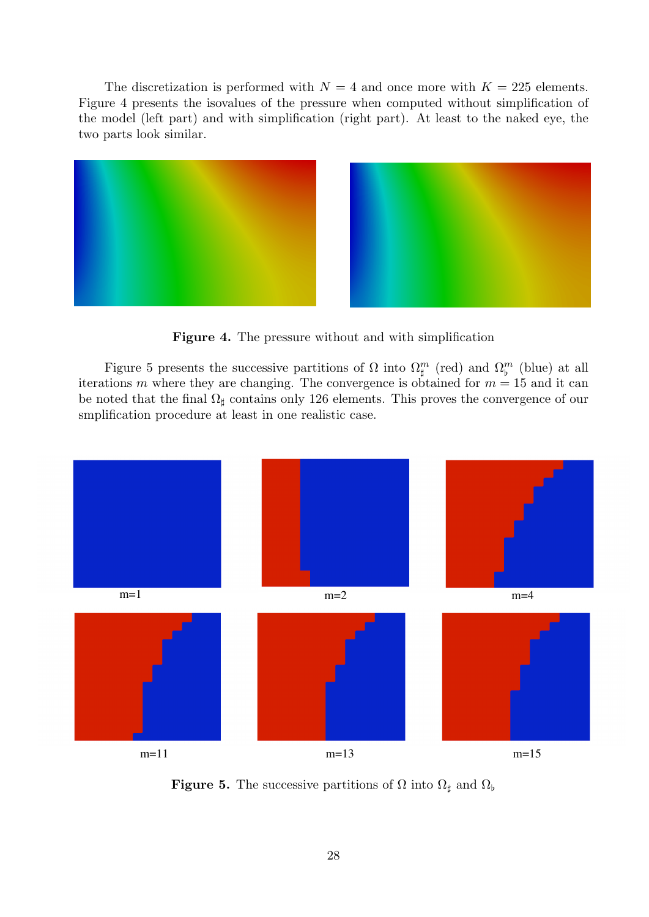The discretization is performed with  $N = 4$  and once more with  $K = 225$  elements. Figure 4 presents the isovalues of the pressure when computed without simplification of the model (left part) and with simplification (right part). At least to the naked eye, the two parts look similar.



Figure 4. The pressure without and with simplification

Figure 5 presents the successive partitions of  $\Omega$  into  $\Omega_{\sharp}^m$  (red) and  $\Omega_{\flat}^m$  (blue) at all iterations m where they are changing. The convergence is obtained for  $m = 15$  and it can be noted that the final  $\Omega_{\sharp}$  contains only 126 elements. This proves the convergence of our smplification procedure at least in one realistic case.



**Figure 5.** The successive partitions of  $\Omega$  into  $\Omega_{\sharp}$  and  $\Omega_{\flat}$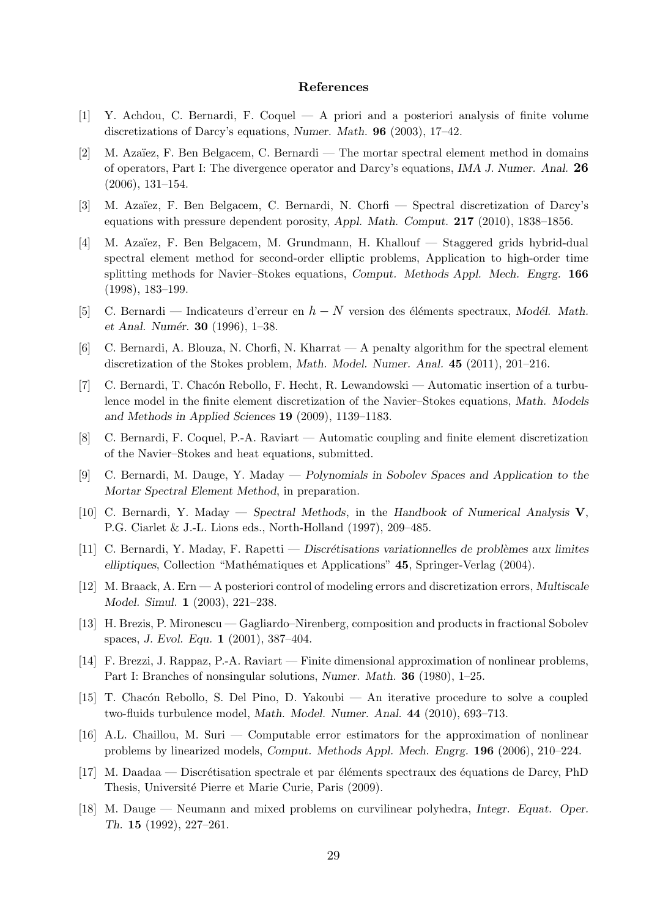# References

- [1] Y. Achdou, C. Bernardi, F. Coquel A priori and a posteriori analysis of finite volume discretizations of Darcy's equations, Numer. Math. 96 (2003), 17–42.
- [2] M. Azaïez, F. Ben Belgacem, C. Bernardi The mortar spectral element method in domains of operators, Part I: The divergence operator and Darcy's equations, IMA J. Numer. Anal. 26 (2006), 131–154.
- [3] M. Azaïez, F. Ben Belgacem, C. Bernardi, N. Chorfi Spectral discretization of Darcy's equations with pressure dependent porosity, Appl. Math. Comput. 217 (2010), 1838–1856.
- [4] M. Azaïez, F. Ben Belgacem, M. Grundmann, H. Khallouf Staggered grids hybrid-dual spectral element method for second-order elliptic problems, Application to high-order time splitting methods for Navier–Stokes equations, Comput. Methods Appl. Mech. Engrg. 166 (1998), 183–199.
- [5] C. Bernardi Indicateurs d'erreur en  $h N$  version des éléments spectraux, Modél. Math. et Anal. Numér.  $30$  (1996), 1–38.
- [6] C. Bernardi, A. Blouza, N. Chorfi, N. Kharrat A penalty algorithm for the spectral element discretization of the Stokes problem, Math. Model. Numer. Anal. 45 (2011), 201–216.
- [7] C. Bernardi, T. Chacón Rebollo, F. Hecht, R. Lewandowski Automatic insertion of a turbulence model in the finite element discretization of the Navier–Stokes equations, Math. Models and Methods in Applied Sciences 19 (2009), 1139–1183.
- [8] C. Bernardi, F. Coquel, P.-A. Raviart Automatic coupling and finite element discretization of the Navier–Stokes and heat equations, submitted.
- [9] C. Bernardi, M. Dauge, Y. Maday Polynomials in Sobolev Spaces and Application to the Mortar Spectral Element Method, in preparation.
- [10] C. Bernardi, Y. Maday Spectral Methods, in the Handbook of Numerical Analysis  $V$ , P.G. Ciarlet & J.-L. Lions eds., North-Holland (1997), 209–485.
- [11] C. Bernardi, Y. Maday, F. Rapetti Discrétisations variationnelles de problèmes aux limites elliptiques, Collection "Mathématiques et Applications" 45, Springer-Verlag (2004).
- [12] M. Braack, A. Ern A posteriori control of modeling errors and discretization errors, Multiscale Model. Simul. 1 (2003), 221–238.
- [13] H. Brezis, P. Mironescu Gagliardo–Nirenberg, composition and products in fractional Sobolev spaces, J. Evol. Equ. 1 (2001), 387–404.
- [14] F. Brezzi, J. Rappaz, P.-A. Raviart Finite dimensional approximation of nonlinear problems, Part I: Branches of nonsingular solutions, Numer. Math. 36 (1980), 1–25.
- [15] T. Chac´on Rebollo, S. Del Pino, D. Yakoubi An iterative procedure to solve a coupled two-fluids turbulence model, Math. Model. Numer. Anal. 44 (2010), 693–713.
- [16] A.L. Chaillou, M. Suri Computable error estimators for the approximation of nonlinear problems by linearized models, Comput. Methods Appl. Mech. Engrg. 196 (2006), 210–224.
- [17] M. Daadaa Discrétisation spectrale et par éléments spectraux des équations de Darcy, PhD Thesis, Université Pierre et Marie Curie, Paris (2009).
- [18] M. Dauge Neumann and mixed problems on curvilinear polyhedra, Integr. Equat. Oper. Th. 15 (1992), 227–261.